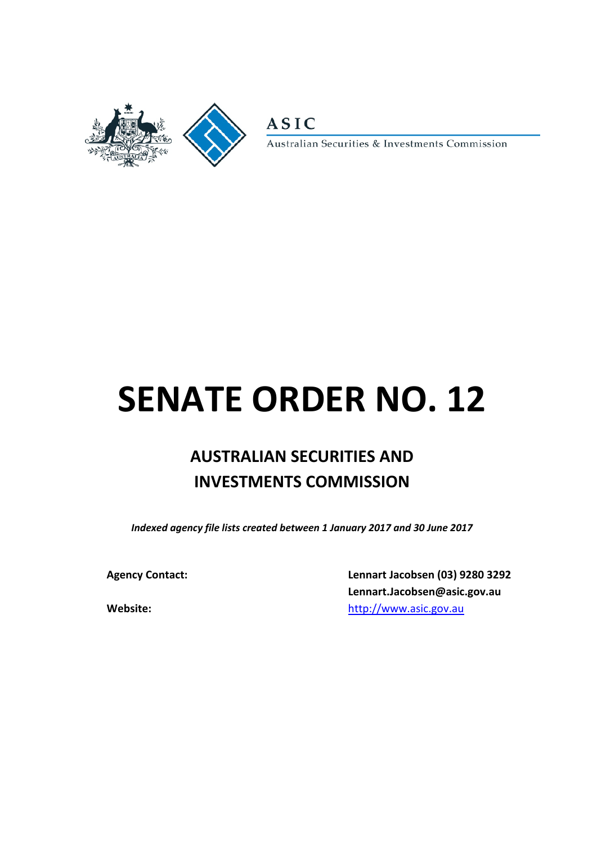

**ASIC** 

Australian Securities & Investments Commission

# **SENATE ORDER NO. 12**

# **AUSTRALIAN SECURITIES AND INVESTMENTS COMMISSION**

*Indexed agency file lists created between 1 January 2017 and 30 June 2017*

**Agency Contact: Lennart Jacobsen (03) 9280 3292 Lennart.Jacobsen@asic.gov.au Website:** [http://www.asic.gov.au](http://www.asic.gov.au/)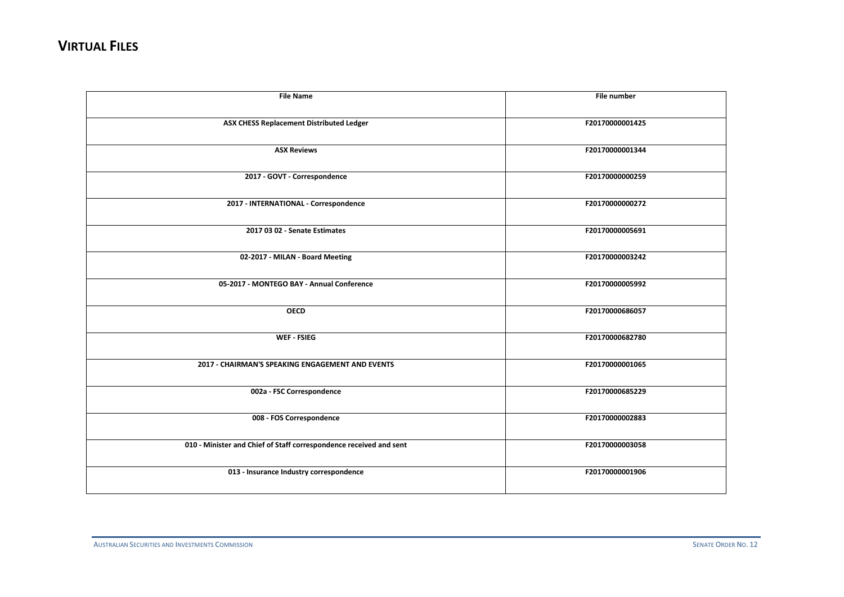| <b>File Name</b>                                                   | File number     |
|--------------------------------------------------------------------|-----------------|
| ASX CHESS Replacement Distributed Ledger                           | F20170000001425 |
| <b>ASX Reviews</b>                                                 | F20170000001344 |
| 2017 - GOVT - Correspondence                                       | F20170000000259 |
| 2017 - INTERNATIONAL - Correspondence                              | F20170000000272 |
| 2017 03 02 - Senate Estimates                                      | F20170000005691 |
| 02-2017 - MILAN - Board Meeting                                    | F20170000003242 |
| 05-2017 - MONTEGO BAY - Annual Conference                          | F20170000005992 |
| <b>OECD</b>                                                        | F20170000686057 |
| WEF FSIEG                                                          | F20170000682780 |
| 2017 - CHAIRMAN'S SPEAKING ENGAGEMENT AND EVENTS                   | F20170000001065 |
| 002a - FSC Correspondence                                          | F20170000685229 |
| 008 - FOS Correspondence                                           | F20170000002883 |
| 010 - Minister and Chief of Staff correspondence received and sent | F20170000003058 |
| 013 - Insurance Industry correspondence                            | F20170000001906 |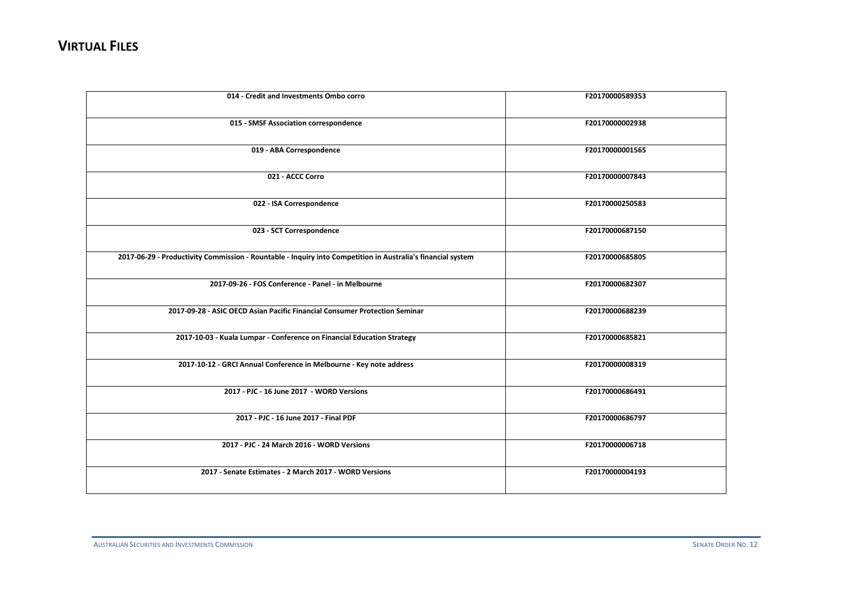| 014 - Credit and Investments Ombo corro                                                                     | F20170000589353 |
|-------------------------------------------------------------------------------------------------------------|-----------------|
| 015 - SMSF Association correspondence                                                                       | F20170000002938 |
| 019 - ABA Correspondence                                                                                    | F20170000001565 |
| 021 - ACCC Corro                                                                                            | F20170000007843 |
| 022 - ISA Correspondence                                                                                    | F20170000250583 |
| 023 - SCT Correspondence                                                                                    | F20170000687150 |
| 2017-06-29 - Productivity Commission - Rountable - Inquiry into Competition in Australia's financial system | F20170000685805 |
| 2017-09-26 - FOS Conference - Panel - in Melbourne                                                          | F20170000682307 |
| 2017-09-28 - ASIC OECD Asian Pacific Financial Consumer Protection Seminar                                  | F20170000688239 |
| 2017-10-03 - Kuala Lumpar - Conference on Financial Education Strategy                                      | F20170000685821 |
| 2017-10-12 - GRCI Annual Conference in Melbourne - Key note address                                         | F20170000008319 |
| 2017 - PJC - 16 June 2017 - WORD Versions                                                                   | F20170000686491 |
| 2017 - PJC - 16 June 2017 - Final PDF                                                                       | F20170000686797 |
| 2017 - PJC - 24 March 2016 - WORD Versions                                                                  | F20170000006718 |
| 2017 - Senate Estimates - 2 March 2017 - WORD Versions                                                      | F20170000004193 |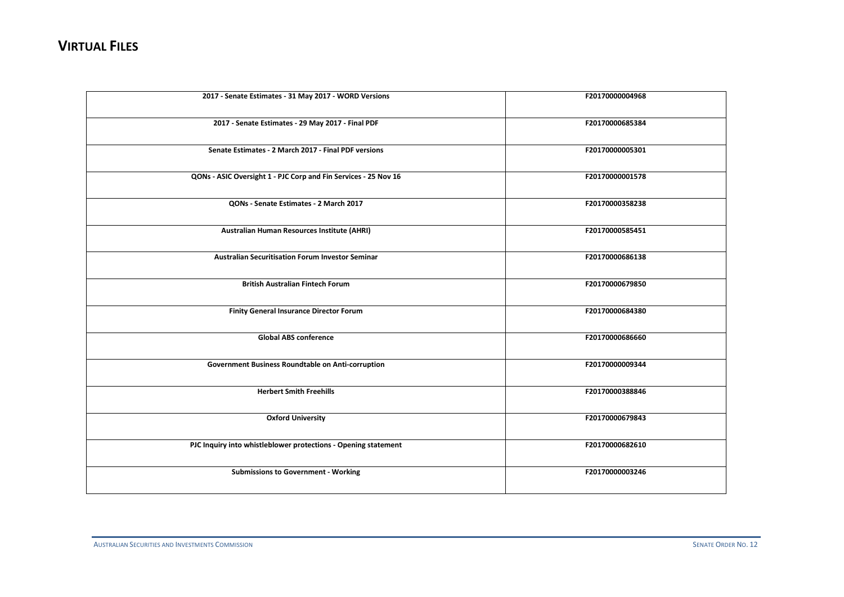| 2017 - Senate Estimates - 31 May 2017 - WORD Versions           | F20170000004968 |
|-----------------------------------------------------------------|-----------------|
| 2017 - Senate Estimates - 29 May 2017 - Final PDF               | F20170000685384 |
| Senate Estimates - 2 March 2017 - Final PDF versions            | F20170000005301 |
| QONs - ASIC Oversight 1 - PJC Corp and Fin Services - 25 Nov 16 | F20170000001578 |
| QONs - Senate Estimates - 2 March 2017                          | F20170000358238 |
| Australian Human Resources Institute (AHRI)                     | F20170000585451 |
| <b>Australian Securitisation Forum Investor Seminar</b>         | F20170000686138 |
| <b>British Australian Fintech Forum</b>                         | F20170000679850 |
| <b>Finity General Insurance Director Forum</b>                  | F20170000684380 |
| <b>Global ABS conference</b>                                    | F20170000686660 |
| <b>Government Business Roundtable on Anti-corruption</b>        | F20170000009344 |
| <b>Herbert Smith Freehills</b>                                  | F20170000388846 |
| <b>Oxford University</b>                                        | F20170000679843 |
| PJC Inquiry into whistleblower protections - Opening statement  | F20170000682610 |
| <b>Submissions to Government - Working</b>                      | F20170000003246 |
|                                                                 |                 |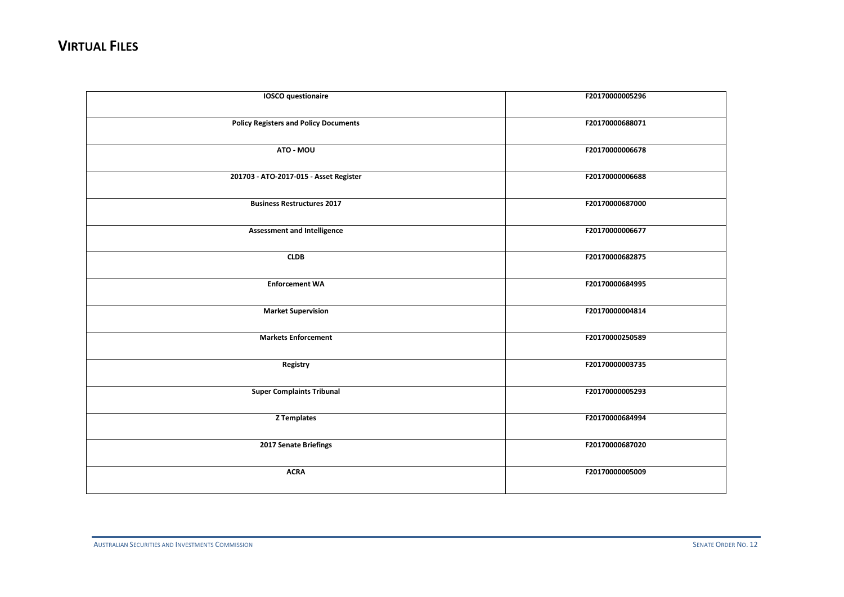| <b>IOSCO</b> questionaire                    | F20170000005296 |
|----------------------------------------------|-----------------|
| <b>Policy Registers and Policy Documents</b> | F20170000688071 |
| ATO - MOU                                    | F20170000006678 |
| 201703 - ATO-2017-015 - Asset Register       | F20170000006688 |
| <b>Business Restructures 2017</b>            | F20170000687000 |
| <b>Assessment and Intelligence</b>           | F20170000006677 |
| <b>CLDB</b>                                  | F20170000682875 |
| <b>Enforcement WA</b>                        | F20170000684995 |
| <b>Market Supervision</b>                    | F20170000004814 |
| <b>Markets Enforcement</b>                   | F20170000250589 |
| Registry                                     | F20170000003735 |
| <b>Super Complaints Tribunal</b>             | F20170000005293 |
| <b>Z</b> Templates                           | F20170000684994 |
| 2017 Senate Briefings                        | F20170000687020 |
| <b>ACRA</b>                                  | F20170000005009 |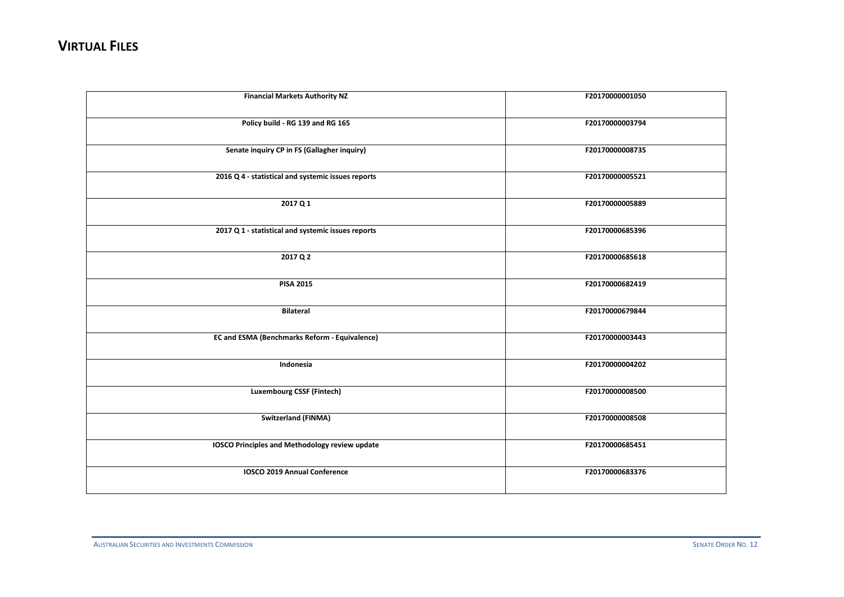| <b>Financial Markets Authority NZ</b>                | F20170000001050 |
|------------------------------------------------------|-----------------|
| Policy build - RG 139 and RG 165                     | F20170000003794 |
| Senate inquiry CP in FS (Gallagher inquiry)          | F20170000008735 |
| 2016 Q 4 - statistical and systemic issues reports   | F20170000005521 |
| 2017 Q 1                                             | F20170000005889 |
| 2017 Q 1 - statistical and systemic issues reports   | F20170000685396 |
| 2017 Q 2                                             | F20170000685618 |
| <b>PISA 2015</b>                                     | F20170000682419 |
| <b>Bilateral</b>                                     | F20170000679844 |
| <b>EC and ESMA (Benchmarks Reform - Equivalence)</b> | F20170000003443 |
| Indonesia                                            | F20170000004202 |
| <b>Luxembourg CSSF (Fintech)</b>                     | F20170000008500 |
| <b>Switzerland (FINMA)</b>                           | F20170000008508 |
| IOSCO Principles and Methodology review update       | F20170000685451 |
| IOSCO 2019 Annual Conference                         | F20170000683376 |
|                                                      |                 |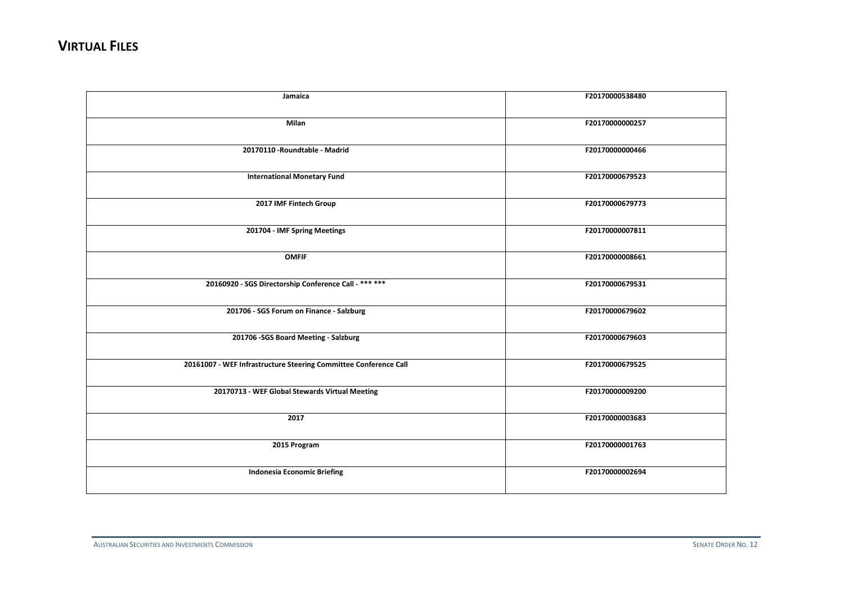| Jamaica                                                          | F20170000538480 |
|------------------------------------------------------------------|-----------------|
| Milan                                                            | F20170000000257 |
| 20170110 - Roundtable - Madrid                                   | F20170000000466 |
| <b>International Monetary Fund</b>                               | F20170000679523 |
| 2017 IMF Fintech Group                                           | F20170000679773 |
| 201704 - IMF Spring Meetings                                     | F20170000007811 |
| <b>OMFIF</b>                                                     | F20170000008661 |
| 20160920 - SGS Directorship Conference Call - *** ***            | F20170000679531 |
| 201706 - SGS Forum on Finance - Salzburg                         | F20170000679602 |
| 201706 - SGS Board Meeting - Salzburg                            | F20170000679603 |
| 20161007 - WEF Infrastructure Steering Committee Conference Call | F20170000679525 |
| 20170713 - WEF Global Stewards Virtual Meeting                   | F20170000009200 |
| 2017                                                             | F20170000003683 |
| 2015 Program                                                     | F20170000001763 |
| <b>Indonesia Economic Briefing</b>                               | F20170000002694 |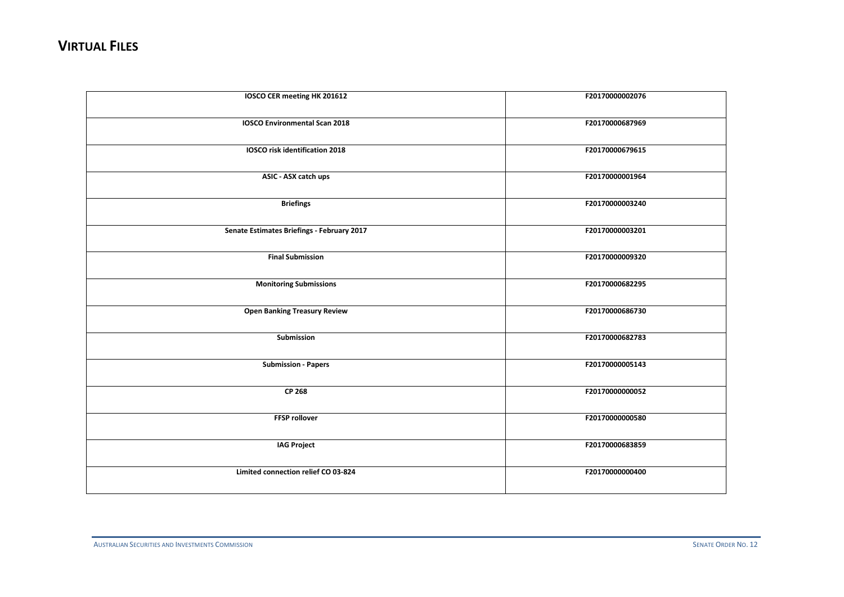| IOSCO CER meeting HK 201612                | F20170000002076 |
|--------------------------------------------|-----------------|
| <b>IOSCO Environmental Scan 2018</b>       | F20170000687969 |
| <b>IOSCO</b> risk identification 2018      | F20170000679615 |
| ASIC - ASX catch ups                       | F20170000001964 |
| <b>Briefings</b>                           | F20170000003240 |
| Senate Estimates Briefings - February 2017 | F20170000003201 |
| <b>Final Submission</b>                    | F20170000009320 |
| <b>Monitoring Submissions</b>              | F20170000682295 |
| <b>Open Banking Treasury Review</b>        | F20170000686730 |
| Submission                                 | F20170000682783 |
| <b>Submission - Papers</b>                 | F20170000005143 |
| CP 268                                     | F20170000000052 |
| <b>FFSP rollover</b>                       | F20170000000580 |
| <b>IAG Project</b>                         | F20170000683859 |
| Limited connection relief CO 03-824        | F20170000000400 |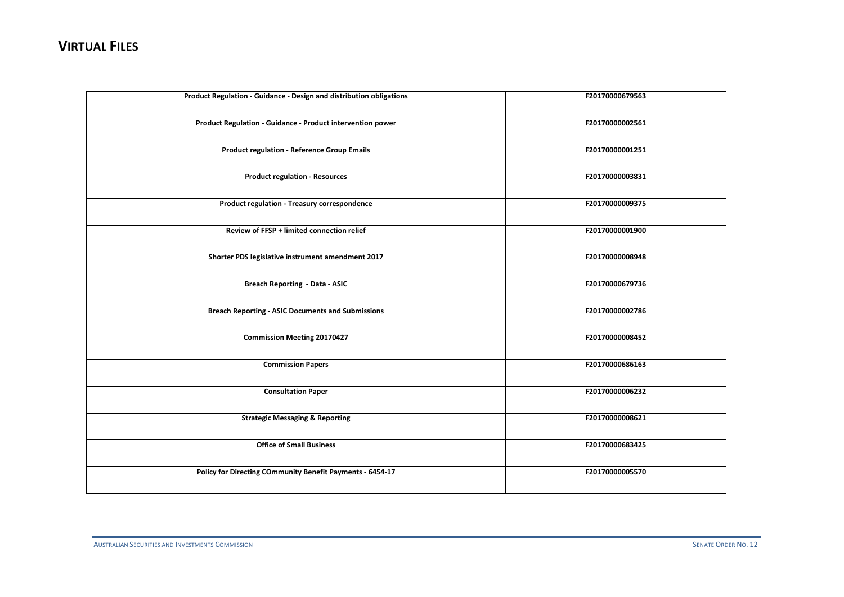| Product Regulation - Guidance - Design and distribution obligations | F20170000679563 |
|---------------------------------------------------------------------|-----------------|
| Product Regulation - Guidance - Product intervention power          | F20170000002561 |
| <b>Product regulation - Reference Group Emails</b>                  | F20170000001251 |
| <b>Product regulation - Resources</b>                               | F20170000003831 |
| Product regulation - Treasury correspondence                        | F20170000009375 |
| Review of FFSP + limited connection relief                          | F20170000001900 |
| Shorter PDS legislative instrument amendment 2017                   | F20170000008948 |
| <b>Breach Reporting - Data - ASIC</b>                               | F20170000679736 |
| <b>Breach Reporting - ASIC Documents and Submissions</b>            | F20170000002786 |
| <b>Commission Meeting 20170427</b>                                  | F20170000008452 |
| <b>Commission Papers</b>                                            | F20170000686163 |
| <b>Consultation Paper</b>                                           | F20170000006232 |
| <b>Strategic Messaging &amp; Reporting</b>                          | F20170000008621 |
| <b>Office of Small Business</b>                                     | F20170000683425 |
| Policy for Directing COmmunity Benefit Payments - 6454-17           | F20170000005570 |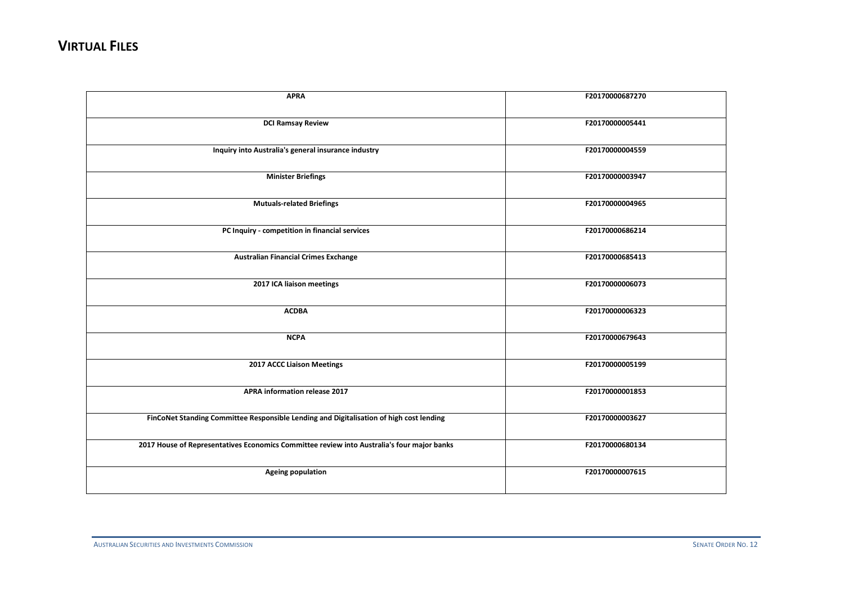| <b>APRA</b>                                                                                | F20170000687270 |
|--------------------------------------------------------------------------------------------|-----------------|
|                                                                                            |                 |
| <b>DCI Ramsay Review</b>                                                                   | F20170000005441 |
| Inquiry into Australia's general insurance industry                                        | F20170000004559 |
| <b>Minister Briefings</b>                                                                  | F20170000003947 |
| <b>Mutuals-related Briefings</b>                                                           | F20170000004965 |
| PC Inquiry - competition in financial services                                             | F20170000686214 |
| <b>Australian Financial Crimes Exchange</b>                                                | F20170000685413 |
| 2017 ICA liaison meetings                                                                  | F20170000006073 |
| <b>ACDBA</b>                                                                               | F20170000006323 |
| <b>NCPA</b>                                                                                | F20170000679643 |
| 2017 ACCC Liaison Meetings                                                                 | F20170000005199 |
| APRA information release 2017                                                              | F20170000001853 |
| FinCoNet Standing Committee Responsible Lending and Digitalisation of high cost lending    | F20170000003627 |
| 2017 House of Representatives Economics Committee review into Australia's four major banks | F20170000680134 |
| <b>Ageing population</b>                                                                   | F20170000007615 |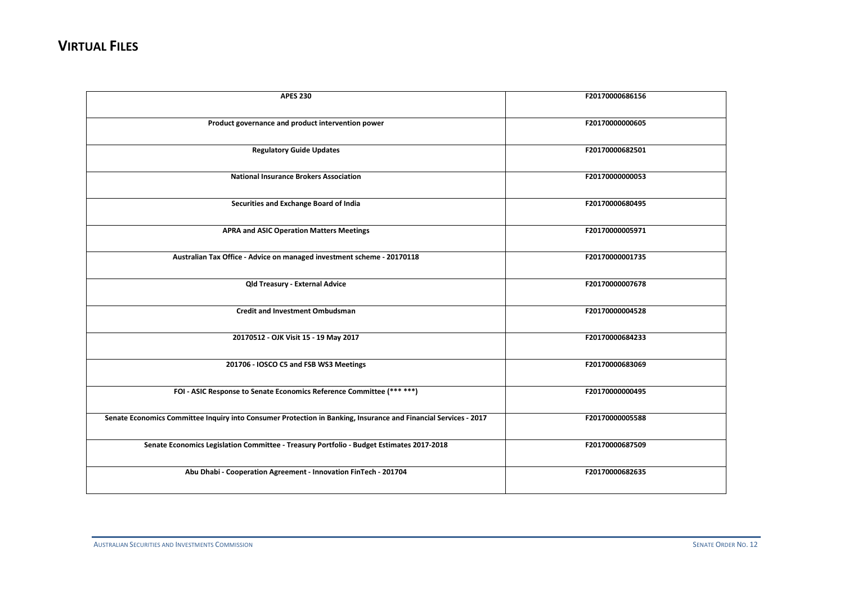| <b>APES 230</b>                                                                                                 | F20170000686156 |
|-----------------------------------------------------------------------------------------------------------------|-----------------|
| Product governance and product intervention power                                                               | F20170000000605 |
| <b>Regulatory Guide Updates</b>                                                                                 | F20170000682501 |
| <b>National Insurance Brokers Association</b>                                                                   | F20170000000053 |
| Securities and Exchange Board of India                                                                          | F20170000680495 |
| <b>APRA and ASIC Operation Matters Meetings</b>                                                                 | F20170000005971 |
| Australian Tax Office - Advice on managed investment scheme - 20170118                                          | F20170000001735 |
| <b>Qld Treasury - External Advice</b>                                                                           | F20170000007678 |
| <b>Credit and Investment Ombudsman</b>                                                                          | F20170000004528 |
| 20170512 - OJK Visit 15 - 19 May 2017                                                                           | F20170000684233 |
| 201706 - IOSCO C5 and FSB WS3 Meetings                                                                          | F20170000683069 |
| FOI - ASIC Response to Senate Economics Reference Committee (*** ***)                                           | F20170000000495 |
| Senate Economics Committee Inquiry into Consumer Protection in Banking, Insurance and Financial Services - 2017 | F20170000005588 |
| Senate Economics Legislation Committee - Treasury Portfolio - Budget Estimates 2017-2018                        | F20170000687509 |
| Abu Dhabi - Cooperation Agreement - Innovation FinTech - 201704                                                 | F20170000682635 |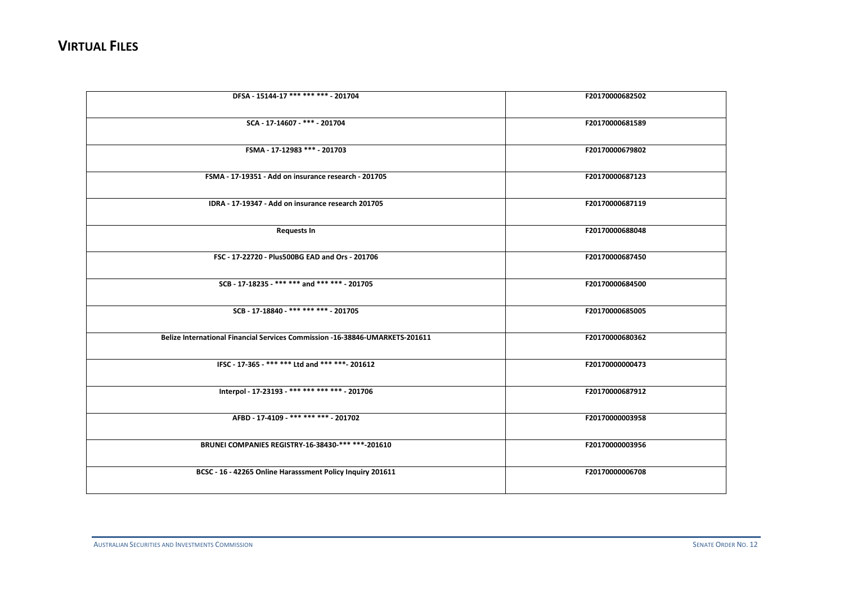| DFSA - 15144-17 *** *** *** - 201704                                         | F20170000682502 |
|------------------------------------------------------------------------------|-----------------|
|                                                                              |                 |
|                                                                              |                 |
| SCA - 17-14607 - *** - 201704                                                | F20170000681589 |
|                                                                              |                 |
| FSMA - 17-12983 *** - 201703                                                 | F20170000679802 |
|                                                                              |                 |
|                                                                              |                 |
| FSMA - 17-19351 - Add on insurance research - 201705                         | F20170000687123 |
|                                                                              |                 |
| IDRA - 17-19347 - Add on insurance research 201705                           | F20170000687119 |
|                                                                              |                 |
|                                                                              |                 |
| <b>Requests In</b>                                                           | F20170000688048 |
|                                                                              |                 |
| FSC - 17-22720 - Plus500BG EAD and Ors - 201706                              | F20170000687450 |
|                                                                              |                 |
|                                                                              |                 |
| SCB - 17-18235 - *** *** and *** *** - 201705                                | F20170000684500 |
|                                                                              |                 |
| SCB - 17-18840 - *** *** *** - 201705                                        | F20170000685005 |
|                                                                              |                 |
|                                                                              |                 |
| Belize International Financial Services Commission -16-38846-UMARKETS-201611 | F20170000680362 |
|                                                                              |                 |
| IFSC - 17-365 - *** *** Ltd and *** *** - 201612                             | F20170000000473 |
|                                                                              |                 |
|                                                                              |                 |
| Interpol - 17-23193 - *** *** *** *** - 201706                               | F20170000687912 |
|                                                                              |                 |
| AFBD - 17-4109 - *** *** *** - 201702                                        | F20170000003958 |
|                                                                              |                 |
|                                                                              |                 |
| BRUNEI COMPANIES REGISTRY-16-38430-*** ***-201610                            | F20170000003956 |
|                                                                              |                 |
|                                                                              | F20170000006708 |
| BCSC - 16 - 42265 Online Harasssment Policy Inquiry 201611                   |                 |
|                                                                              |                 |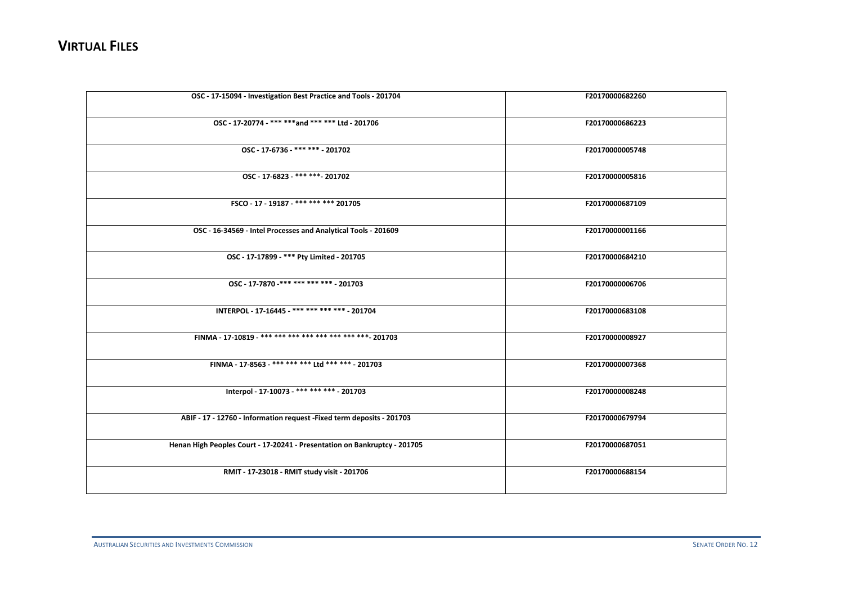| OSC - 17-15094 - Investigation Best Practice and Tools - 201704           | F20170000682260 |
|---------------------------------------------------------------------------|-----------------|
| OSC - 17-20774 - *** *** and *** *** Ltd - 201706                         | F20170000686223 |
| OSC - 17-6736 - *** *** - 201702                                          | F20170000005748 |
| OSC - 17-6823 - *** *** - 201702                                          | F20170000005816 |
| FSCO - 17 - 19187 - *** *** *** 201705                                    | F20170000687109 |
| OSC - 16-34569 - Intel Processes and Analytical Tools - 201609            | F20170000001166 |
| OSC - 17-17899 - *** Pty Limited - 201705                                 | F20170000684210 |
| OSC - 17-7870 -*** *** *** *** - 201703                                   | F20170000006706 |
| INTERPOL - 17-16445 - *** *** *** *** - 201704                            | F20170000683108 |
| FINMA - 17-10819 - *** *** *** *** *** *** *** *** 201703                 | F20170000008927 |
| FINMA - 17-8563 - *** *** *** Ltd *** *** - 201703                        | F20170000007368 |
| Interpol - 17-10073 - *** *** *** - 201703                                | F20170000008248 |
| ABIF - 17 - 12760 - Information request - Fixed term deposits - 201703    | F20170000679794 |
| Henan High Peoples Court - 17-20241 - Presentation on Bankruptcy - 201705 | F20170000687051 |
| RMIT - 17-23018 - RMIT study visit - 201706                               | F20170000688154 |
|                                                                           |                 |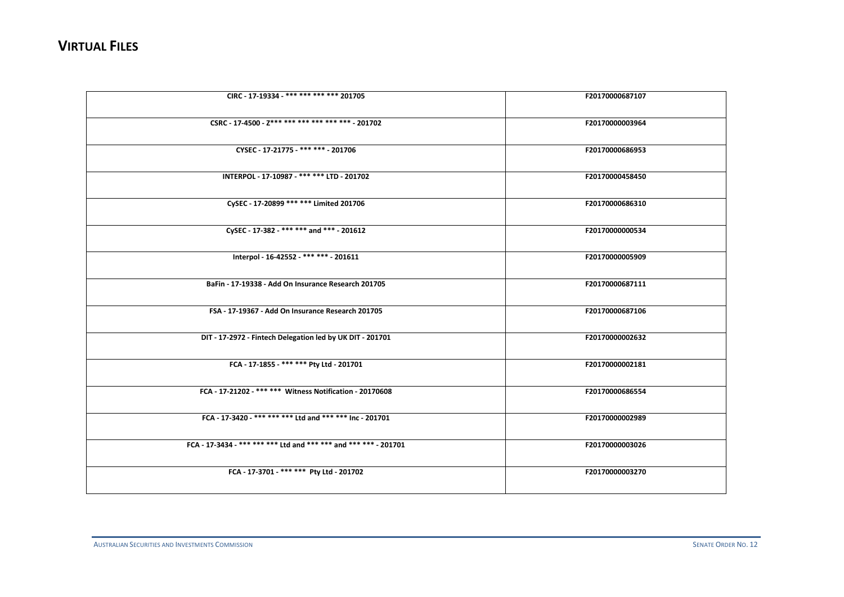| CIRC - 17-19334 - *** *** *** *** 201705                         | F20170000687107 |
|------------------------------------------------------------------|-----------------|
| CSRC - 17-4500 - Z*** *** *** *** *** *** - 201702               | F20170000003964 |
| CYSEC - 17-21775 -*** *** 201706                                 | F20170000686953 |
| INTERPOL - 17-10987 - *** *** LTD - 201702                       | F20170000458450 |
| CySEC - 17-20899 *** *** Limited 201706                          | F20170000686310 |
| CySEC - 17-382 - *** *** and *** - 201612                        | F20170000000534 |
| Interpol - 16-42552 - *** *** - 201611                           | F20170000005909 |
| BaFin - 17-19338 - Add On Insurance Research 201705              | F20170000687111 |
| FSA - 17-19367 - Add On Insurance Research 201705                | F20170000687106 |
| DIT - 17-2972 - Fintech Delegation led by UK DIT - 201701        | F20170000002632 |
| FCA - 17-1855 - *** *** Pty Ltd - 201701                         | F20170000002181 |
| FCA - 17-21202 - *** *** Witness Notification - 20170608         | F20170000686554 |
| FCA - 17-3420 - *** *** *** Ltd and *** *** Inc - 201701         | F20170000002989 |
| FCA - 17-3434 - *** *** *** Ltd and *** *** and *** *** - 201701 | F20170000003026 |
| FCA - 17-3701 - *** *** Pty Ltd - 201702                         | F20170000003270 |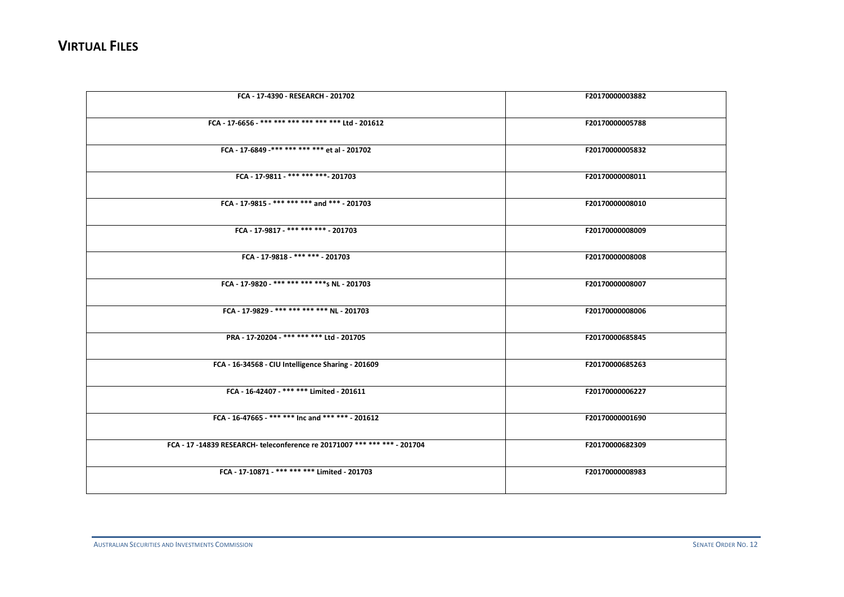| FCA - 17-4390 - RESEARCH - 201702                                         | F20170000003882 |
|---------------------------------------------------------------------------|-----------------|
| FCA - 17-6656 - *** *** *** *** *** *** Ltd - 201612                      | F20170000005788 |
| FCA - 17-6849 -*** *** *** *** et al - 201702                             | F20170000005832 |
| FCA - 17-9811 - *** *** *** - 201703                                      | F20170000008011 |
| FCA - 17-9815 - *** *** *** and *** - 201703                              | F20170000008010 |
| FCA - 17-9817 - *** *** *** - 201703                                      | F20170000008009 |
| FCA - 17-9818 - *** *** - 201703                                          | F20170000008008 |
| FCA - 17-9820 - *** *** *** *** s NL - 201703                             | F20170000008007 |
| FCA - 17-9829 - *** *** *** *** NL - 201703                               | F20170000008006 |
| PRA - 17-20204 - *** *** *** Ltd - 201705                                 | F20170000685845 |
| FCA - 16-34568 - CIU Intelligence Sharing - 201609                        | F20170000685263 |
| FCA - 16-42407 - *** *** Limited - 201611                                 | F20170000006227 |
| FCA - 16-47665 - *** *** Inc and *** *** - 201612                         | F20170000001690 |
| FCA - 17 -14839 RESEARCH- teleconference re 20171007 *** *** *** - 201704 | F20170000682309 |
| FCA - 17-10871 - *** *** *** Limited - 201703                             | F20170000008983 |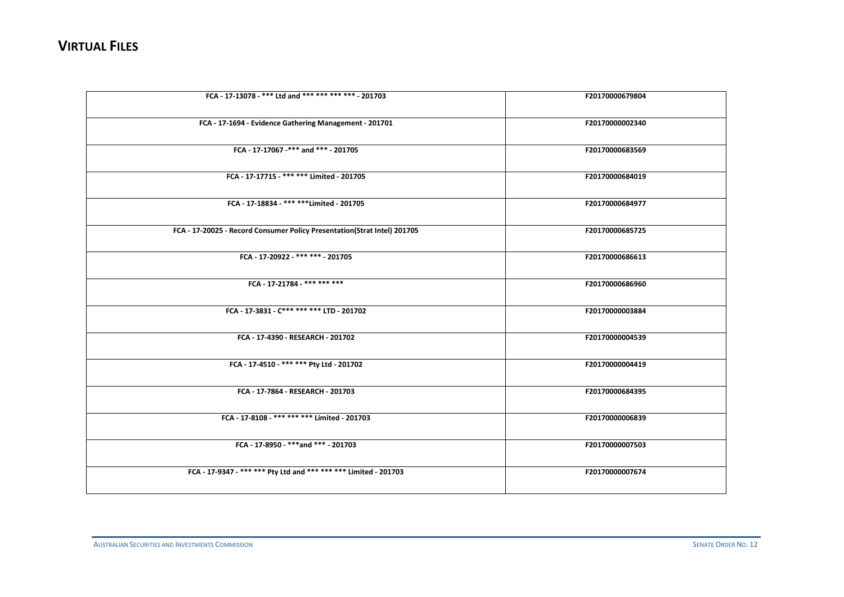| FCA - 17-13078 - *** Ltd and *** *** *** *** - 201703                    | F20170000679804 |
|--------------------------------------------------------------------------|-----------------|
|                                                                          |                 |
| FCA - 17-1694 - Evidence Gathering Management - 201701                   | F20170000002340 |
|                                                                          |                 |
|                                                                          |                 |
| FCA - 17-17067 -*** and *** - 201705                                     | F20170000683569 |
|                                                                          |                 |
| FCA - 17-17715 - *** *** Limited - 201705                                | F20170000684019 |
|                                                                          |                 |
| FCA - 17-18834 - *** **** Limited - 201705                               | F20170000684977 |
|                                                                          |                 |
| FCA - 17-20025 - Record Consumer Policy Presentation(Strat Intel) 201705 | F20170000685725 |
|                                                                          |                 |
|                                                                          |                 |
| FCA - 17-20922 - *** *** - 201705                                        | F20170000686613 |
|                                                                          |                 |
| FCA - 17-21784 - *** *** ***                                             | F20170000686960 |
|                                                                          |                 |
| FCA - 17-3831 - C*** *** *** LTD - 201702                                | F20170000003884 |
|                                                                          |                 |
| FCA - 17-4390 - RESEARCH - 201702                                        | F20170000004539 |
|                                                                          |                 |
|                                                                          |                 |
| FCA - 17-4510 - *** *** Pty Ltd - 201702                                 | F20170000004419 |
|                                                                          |                 |
| FCA - 17-7864 - RESEARCH - 201703                                        | F20170000684395 |
|                                                                          |                 |
| FCA - 17-8108 - *** *** *** Limited - 201703                             | F20170000006839 |
|                                                                          |                 |
| FCA - 17-8950 - *** and *** - 201703                                     | F20170000007503 |
|                                                                          |                 |
| FCA - 17-9347 - *** *** Pty Ltd and *** *** *** Limited - 201703         | F20170000007674 |
|                                                                          |                 |
|                                                                          |                 |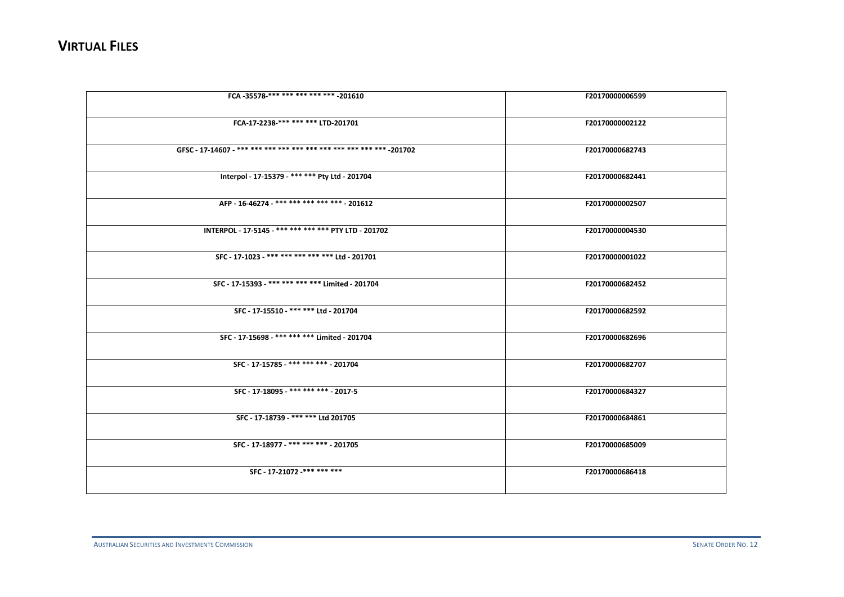| FCA-35578-*** *** *** *** *** -201610                 | F20170000006599 |
|-------------------------------------------------------|-----------------|
|                                                       |                 |
| FCA-17-2238-*** *** *** LTD-201701                    | F20170000002122 |
|                                                       | F20170000682743 |
| Interpol - 17-15379 - *** *** Pty Ltd - 201704        | F20170000682441 |
| AFP - 16-46274 - *** *** *** *** *** - 201612         | F20170000002507 |
| INTERPOL - 17-5145 - *** *** *** *** PTY LTD - 201702 | F20170000004530 |
| SFC - 17-1023 - *** *** *** *** *** Ltd - 201701      | F20170000001022 |
| SFC - 17-15393 - *** *** *** *** Limited - 201704     | F20170000682452 |
| SFC - 17-15510 - *** *** Ltd - 201704                 | F20170000682592 |
| SFC - 17-15698 - *** *** *** Limited - 201704         | F20170000682696 |
| SFC - 17-15785 - *** *** *** - 201704                 | F20170000682707 |
| SFC - 17-18095 - *** *** *** - 2017-5                 | F20170000684327 |
| SFC - 17-18739 - *** *** Ltd 201705                   | F20170000684861 |
| SFC - 17-18977 - *** *** *** - 201705                 | F20170000685009 |
| SFC - 17-21072 -*** *** ***                           | F20170000686418 |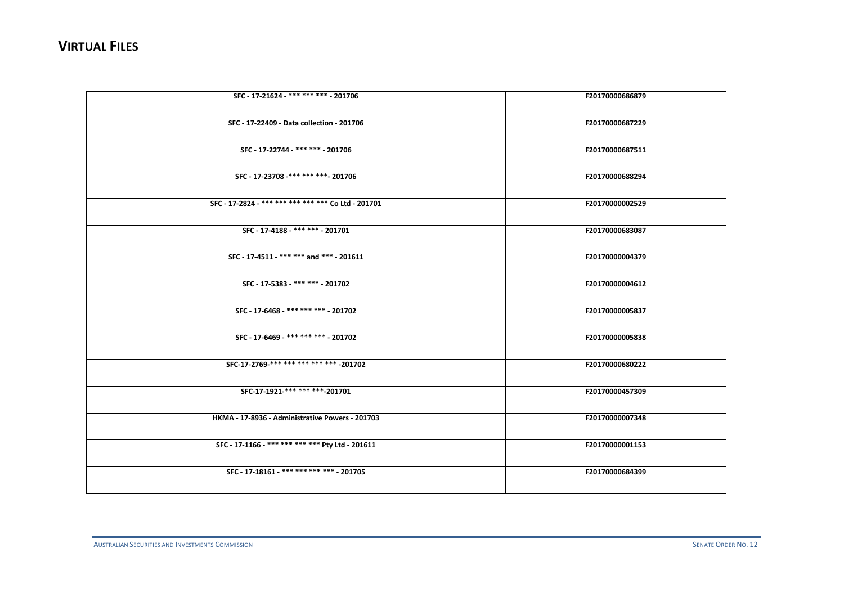| SFC - 17-21624 - *** *** *** - 201706               | F20170000686879 |
|-----------------------------------------------------|-----------------|
|                                                     |                 |
| SFC - 17-22409 - Data collection - 201706           | F20170000687229 |
|                                                     |                 |
| SFC - 17-22744 - *** *** - 201706                   | F20170000687511 |
|                                                     |                 |
| SFC - 17-23708 -*** *** *** 201706                  | F20170000688294 |
|                                                     |                 |
| SFC - 17-2824 - *** *** *** *** *** Co Ltd - 201701 | F20170000002529 |
|                                                     |                 |
| SFC - 17-4188 - *** *** - 201701                    | F20170000683087 |
|                                                     |                 |
| SFC - 17-4511 - *** *** and *** - 201611            | F20170000004379 |
|                                                     |                 |
| SFC - 17-5383 - *** *** - 201702                    | F20170000004612 |
|                                                     |                 |
| SFC - 17-6468 - *** *** *** - 201702                | F20170000005837 |
|                                                     |                 |
| SFC - 17-6469 - *** *** *** - 201702                | F20170000005838 |
|                                                     |                 |
| SFC-17-2769-*** *** *** *** *** -201702             | F20170000680222 |
|                                                     |                 |
| SFC-17-1921-*** *** *** -201701                     | F20170000457309 |
|                                                     |                 |
| HKMA - 17-8936 - Administrative Powers - 201703     | F20170000007348 |
|                                                     |                 |
| SFC - 17-1166 - *** *** *** *** Pty Ltd - 201611    | F20170000001153 |
|                                                     |                 |
| SFC - 17-18161 - *** *** *** *** - 201705           | F20170000684399 |
|                                                     |                 |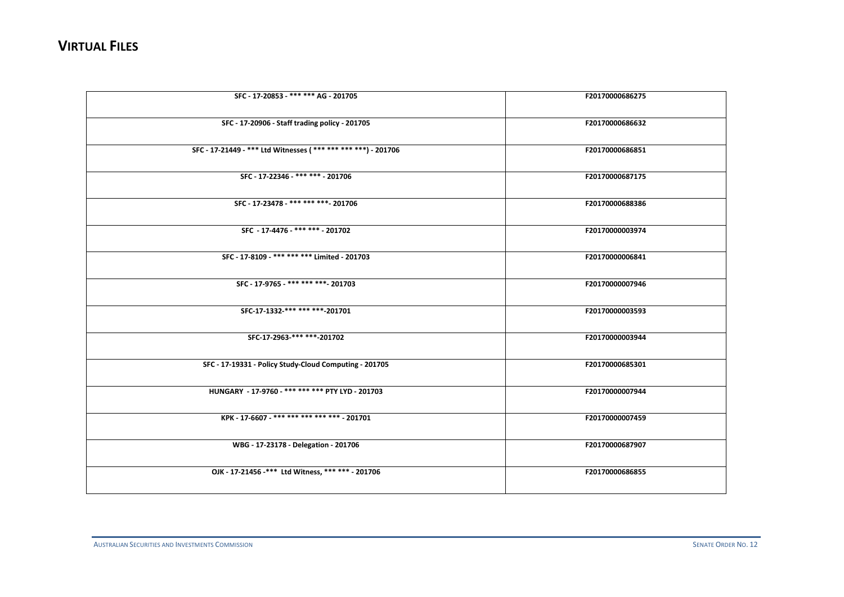| SFC - 17-20853 - *** *** AG - 201705                          | F20170000686275 |
|---------------------------------------------------------------|-----------------|
| SFC - 17-20906 - Staff trading policy - 201705                | F20170000686632 |
| SFC - 17-21449 - *** Ltd Witnesses (*** *** *** ***) - 201706 | F20170000686851 |
| SFC - 17-22346 - *** *** - 201706                             | F20170000687175 |
| SFC - 17-23478 - *** *** *** - 201706                         | F20170000688386 |
| SFC - 17-4476 - *** *** - 201702                              | F20170000003974 |
| SFC - 17-8109 - *** *** *** Limited - 201703                  | F20170000006841 |
| SFC - 17-9765 - *** *** *** - 201703                          | F20170000007946 |
| SFC-17-1332-*** *** ***-201701                                | F20170000003593 |
| SFC-17-2963-*******-201702                                    | F20170000003944 |
| SFC - 17-19331 - Policy Study-Cloud Computing - 201705        | F20170000685301 |
| HUNGARY - 17-9760 - *** *** *** PTY LYD - 201703              | F20170000007944 |
| KPK - 17-6607 - *** *** *** *** *** - 201701                  | F20170000007459 |
| WBG - 17-23178 - Delegation - 201706                          | F20170000687907 |
| OJK - 17-21456 -*** Ltd Witness, *** *** - 201706             | F20170000686855 |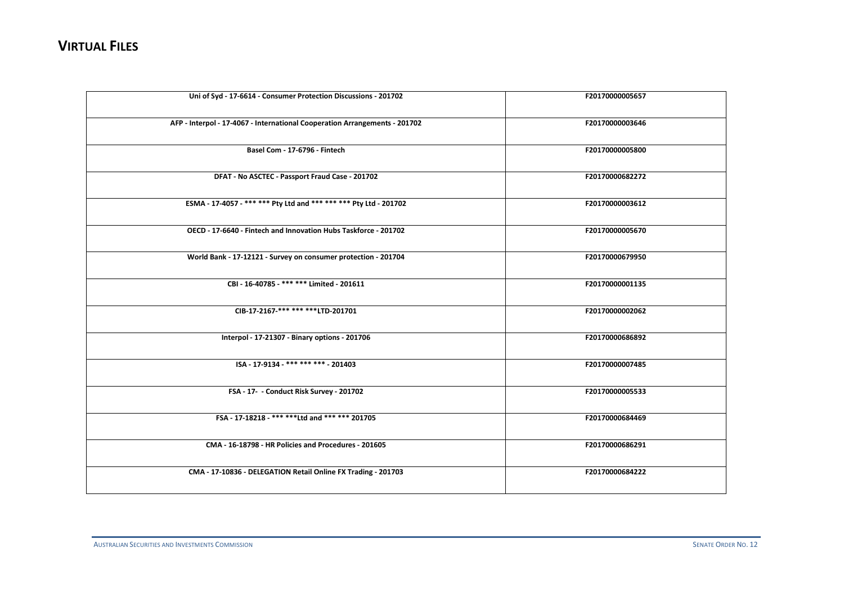| Uni of Syd - 17-6614 - Consumer Protection Discussions - 201702            | F20170000005657 |
|----------------------------------------------------------------------------|-----------------|
| AFP - Interpol - 17-4067 - International Cooperation Arrangements - 201702 | F20170000003646 |
| Basel Com - 17-6796 - Fintech                                              | F20170000005800 |
| DFAT - No ASCTEC - Passport Fraud Case - 201702                            | F20170000682272 |
| ESMA - 17-4057 - *** *** Pty Ltd and *** *** *** Pty Ltd - 201702          | F20170000003612 |
| OECD - 17-6640 - Fintech and Innovation Hubs Taskforce - 201702            | F20170000005670 |
| World Bank - 17-12121 - Survey on consumer protection - 201704             | F20170000679950 |
| CBI - 16-40785 - *** *** Limited - 201611                                  | F20170000001135 |
| CIB-17-2167-*** *** ****LTD-201701                                         | F20170000002062 |
| Interpol - 17-21307 - Binary options - 201706                              | F20170000686892 |
| ISA - 17-9134 - *** *** *** - 201403                                       | F20170000007485 |
| FSA - 17 - Conduct Risk Survey - 201702                                    | F20170000005533 |
| FSA - 17-18218 - *** **** Ltd and *** *** 201705                           | F20170000684469 |
| CMA - 16-18798 - HR Policies and Procedures - 201605                       | F20170000686291 |
| CMA - 17-10836 - DELEGATION Retail Online FX Trading - 201703              | F20170000684222 |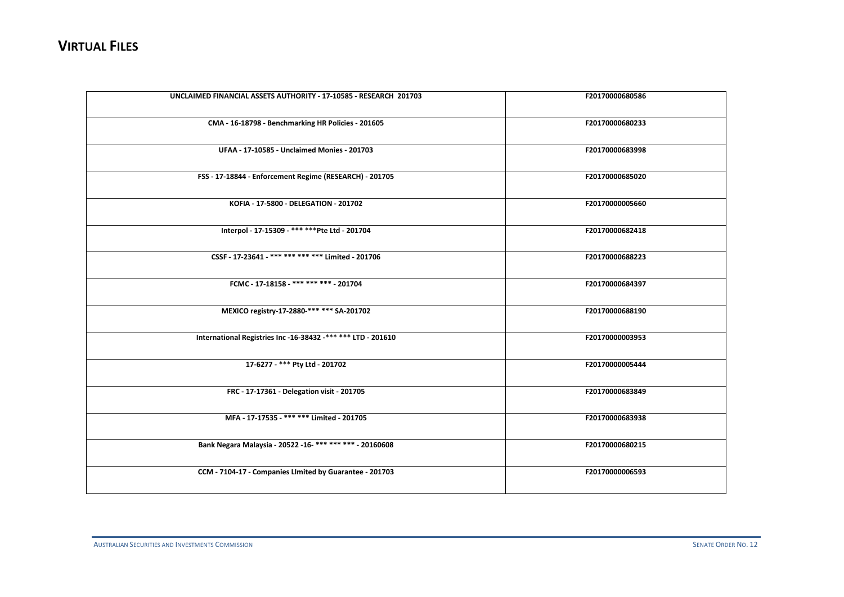| UNCLAIMED FINANCIAL ASSETS AUTHORITY - 17-10585 - RESEARCH 201703 | F20170000680586 |
|-------------------------------------------------------------------|-----------------|
| CMA - 16-18798 - Benchmarking HR Policies - 201605                | F20170000680233 |
| <b>UFAA - 17-10585 - Unclaimed Monies - 201703</b>                | F20170000683998 |
| FSS - 17-18844 - Enforcement Regime (RESEARCH) - 201705           | F20170000685020 |
| KOFIA - 17-5800 - DELEGATION - 201702                             | F20170000005660 |
| Interpol - 17-15309 - *** *** Pte Ltd - 201704                    | F20170000682418 |
| CSSF - 17-23641 - *** *** *** *** Limited - 201706                | F20170000688223 |
| FCMC - 17-18158 - *** *** *** - 201704                            | F20170000684397 |
| MEXICO registry-17-2880-*** *** SA-201702                         | F20170000688190 |
| International Registries Inc -16-38432 -*** *** LTD - 201610      | F20170000003953 |
| 17-6277 - *** Pty Ltd - 201702                                    | F20170000005444 |
| FRC - 17-17361 - Delegation visit - 201705                        | F20170000683849 |
| MFA - 17-17535 - *** *** Limited - 201705                         | F20170000683938 |
| Bank Negara Malaysia - 20522 - 16-********** - 20160608           | F20170000680215 |
| CCM - 7104-17 - Companies LImited by Guarantee - 201703           | F20170000006593 |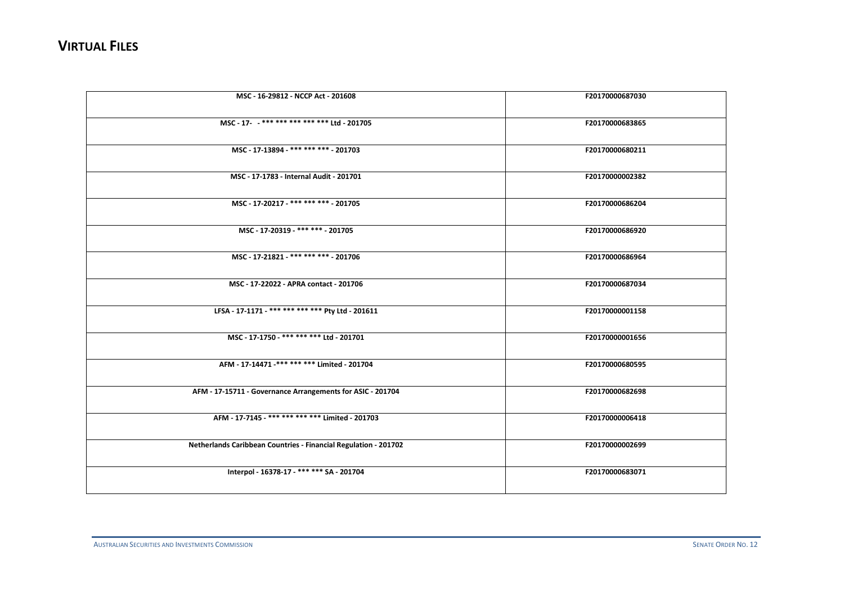| MSC - 16-29812 - NCCP Act - 201608                              | F20170000687030 |
|-----------------------------------------------------------------|-----------------|
| MSC-17- -**************** Ltd-201705                            | F20170000683865 |
| MSC - 17-13894 - *** *** *** - 201703                           | F20170000680211 |
| MSC - 17-1783 - Internal Audit - 201701                         | F20170000002382 |
| MSC - 17-20217 - *** *** *** - 201705                           | F20170000686204 |
| MSC - 17-20319 - *** *** - 201705                               | F20170000686920 |
| MSC - 17-21821 - *** *** *** - 201706                           | F20170000686964 |
| MSC - 17-22022 - APRA contact - 201706                          | F20170000687034 |
| LFSA - 17-1171 - *** *** *** *** Pty Ltd - 201611               | F20170000001158 |
| MSC - 17-1750 - *** *** *** Ltd - 201701                        | F20170000001656 |
| AFM - 17-14471 -*** *** *** Limited - 201704                    | F20170000680595 |
| AFM - 17-15711 - Governance Arrangements for ASIC - 201704      | F20170000682698 |
| AFM - 17-7145 -*** *** *** *** Limited - 201703                 | F20170000006418 |
| Netherlands Caribbean Countries - Financial Regulation - 201702 | F20170000002699 |
| Interpol - 16378-17 - *** *** SA - 201704                       | F20170000683071 |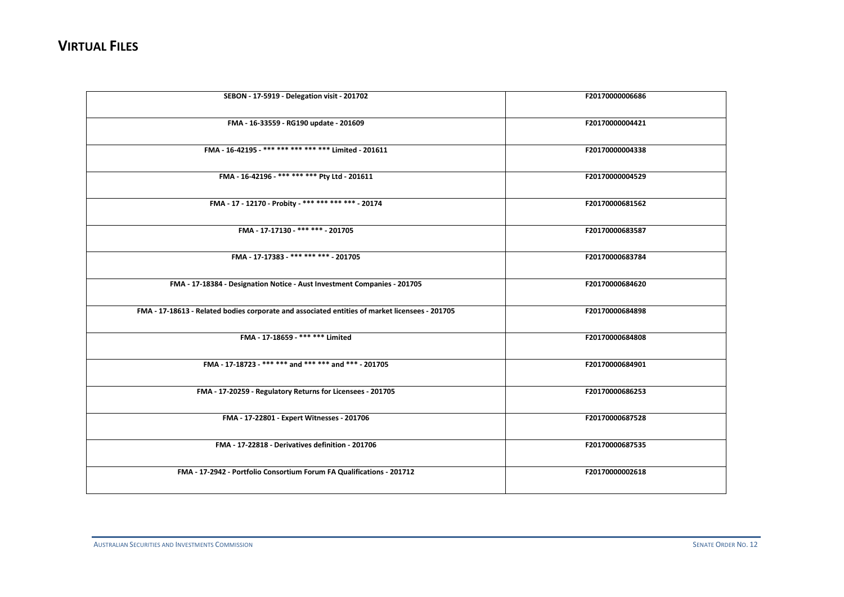| SEBON - 17-5919 - Delegation visit - 201702                                                    | F20170000006686 |
|------------------------------------------------------------------------------------------------|-----------------|
| FMA - 16-33559 - RG190 update - 201609                                                         | F20170000004421 |
| FMA - 16-42195 - *** *** *** *** *** Limited - 201611                                          | F20170000004338 |
| FMA - 16-42196 - *** *** *** Pty Ltd - 201611                                                  | F20170000004529 |
| FMA - 17 - 12170 - Probity - *** *** *** *** - 20174                                           | F20170000681562 |
| FMA - 17-17130 -*** *** - 201705                                                               | F20170000683587 |
| FMA - 17-17383 - *** *** *** - 201705                                                          | F20170000683784 |
| FMA - 17-18384 - Designation Notice - Aust Investment Companies - 201705                       | F20170000684620 |
| FMA - 17-18613 - Related bodies corporate and associated entities of market licensees - 201705 | F20170000684898 |
| FMA - 17-18659 - *** *** Limited                                                               | F20170000684808 |
| FMA - 17-18723 - *** *** and *** *** and *** - 201705                                          | F20170000684901 |
| FMA - 17-20259 - Regulatory Returns for Licensees - 201705                                     | F20170000686253 |
| FMA - 17-22801 - Expert Witnesses - 201706                                                     | F20170000687528 |
| FMA - 17-22818 - Derivatives definition - 201706                                               | F20170000687535 |
| FMA - 17-2942 - Portfolio Consortium Forum FA Qualifications - 201712                          | F20170000002618 |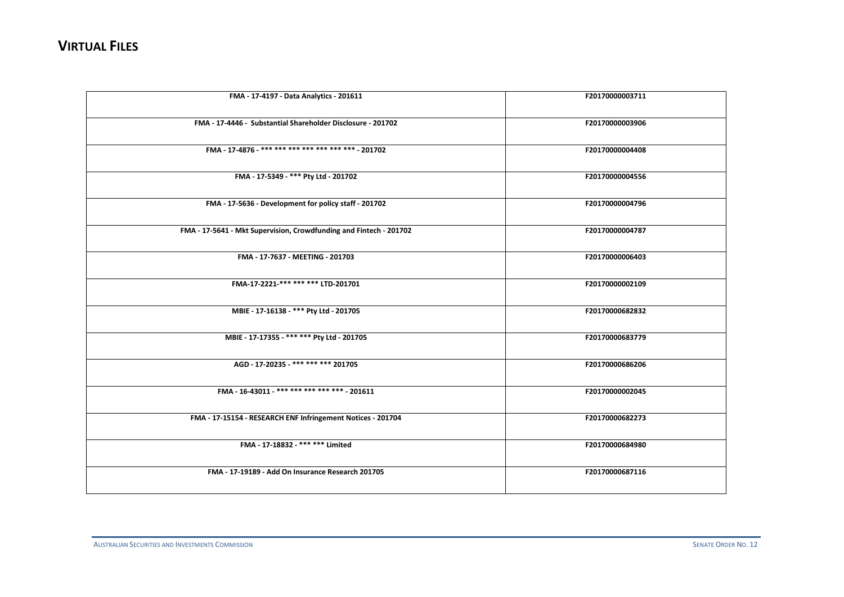| FMA - 17-4197 - Data Analytics - 201611                            | F20170000003711 |
|--------------------------------------------------------------------|-----------------|
| FMA - 17-4446 - Substantial Shareholder Disclosure - 201702        | F20170000003906 |
| FMA - 17-4876 - *** *** *** *** *** *** *** - 201702               | F20170000004408 |
| FMA - 17-5349 - *** Pty Ltd - 201702                               | F20170000004556 |
| FMA - 17-5636 - Development for policy staff - 201702              | F20170000004796 |
| FMA - 17-5641 - Mkt Supervision, Crowdfunding and Fintech - 201702 | F20170000004787 |
| FMA - 17-7637 - MEETING - 201703                                   | F20170000006403 |
| FMA-17-2221-*** *** *** LTD-201701                                 | F20170000002109 |
| MBIE - 17-16138 - *** Pty Ltd - 201705                             | F20170000682832 |
| MBIE - 17-17355 - *** *** Pty Ltd - 201705                         | F20170000683779 |
| AGD - 17-20235 - *** *** *** 201705                                | F20170000686206 |
| FMA - 16-43011 - *** *** *** *** *** - 201611                      | F20170000002045 |
| FMA - 17-15154 - RESEARCH ENF Infringement Notices - 201704        | F20170000682273 |
| FMA - 17-18832 - *** *** Limited                                   | F20170000684980 |
| FMA - 17-19189 - Add On Insurance Research 201705                  | F20170000687116 |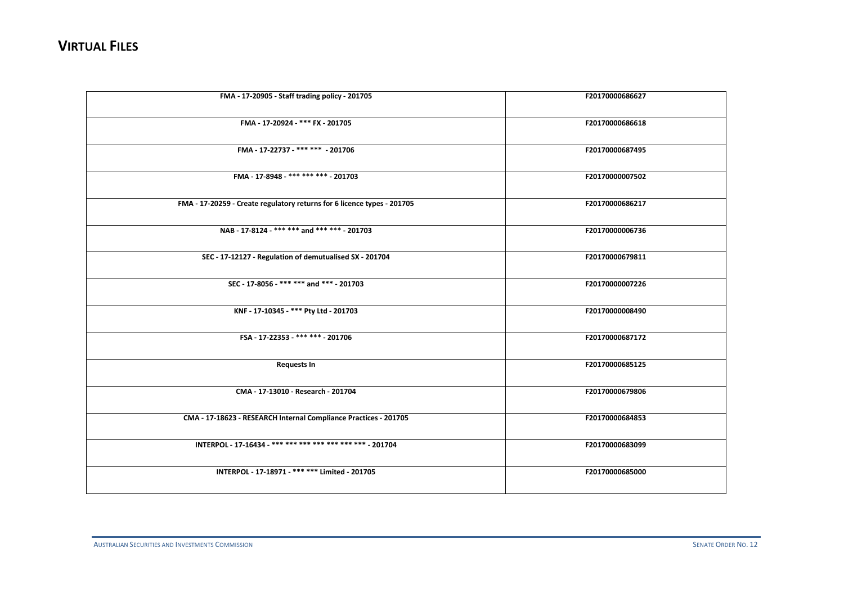| FMA - 17-20905 - Staff trading policy - 201705                          | F20170000686627 |
|-------------------------------------------------------------------------|-----------------|
| FMA - 17-20924 - *** FX - 201705                                        | F20170000686618 |
| FMA - 17-22737 - *** *** - 201706                                       | F20170000687495 |
| FMA - 17-8948 - *** *** *** - 201703                                    | F20170000007502 |
| FMA - 17-20259 - Create regulatory returns for 6 licence types - 201705 | F20170000686217 |
| NAB - 17-8124 - *** *** and *** *** - 201703                            | F20170000006736 |
| SEC - 17-12127 - Regulation of demutualised SX - 201704                 | F20170000679811 |
| SEC - 17-8056 - *** *** and *** - 201703                                | F20170000007226 |
| KNF - 17-10345 - *** Pty Ltd - 201703                                   | F20170000008490 |
| FSA-17-22353-*******-201706                                             | F20170000687172 |
| <b>Requests In</b>                                                      | F20170000685125 |
| CMA - 17-13010 - Research - 201704                                      | F20170000679806 |
| CMA - 17-18623 - RESEARCH Internal Compliance Practices - 201705        | F20170000684853 |
| INTERPOL - 17-16434 - *** *** *** *** *** *** *** - 201704              | F20170000683099 |
| INTERPOL - 17-18971 - *** *** Limited - 201705                          | F20170000685000 |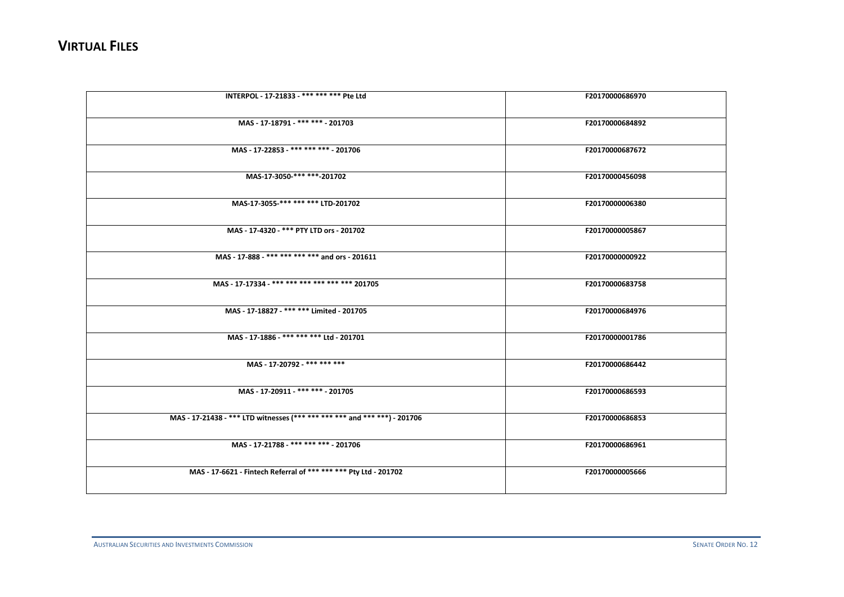| INTERPOL - 17-21833 - *** *** *** Pte Ltd                                 | F20170000686970 |
|---------------------------------------------------------------------------|-----------------|
| MAS - 17-18791 - *** *** - 201703                                         | F20170000684892 |
| MAS - 17-22853 - *** *** *** - 201706                                     | F20170000687672 |
| MAS-17-3050-*** ***-201702                                                | F20170000456098 |
| MAS-17-3055-*** *** *** LTD-201702                                        | F20170000006380 |
| MAS - 17-4320 - *** PTY LTD ors - 201702                                  | F20170000005867 |
| MAS - 17-888 - *** *** *** *** and ors - 201611                           | F20170000000922 |
| MAS - 17-17334 - *** *** *** *** *** *** 201705                           | F20170000683758 |
| MAS - 17-18827 - *** *** Limited - 201705                                 | F20170000684976 |
| MAS - 17-1886 - *** *** *** Ltd - 201701                                  | F20170000001786 |
| MAS - 17-20792 - *** *** ***                                              | F20170000686442 |
| MAS - 17-20911 - *** *** - 201705                                         | F20170000686593 |
| MAS - 17-21438 - *** LTD witnesses (*** *** *** *** and *** ***) - 201706 | F20170000686853 |
| MAS - 17-21788 - *** *** *** - 201706                                     | F20170000686961 |
| MAS - 17-6621 - Fintech Referral of *** *** *** Pty Ltd - 201702          | F20170000005666 |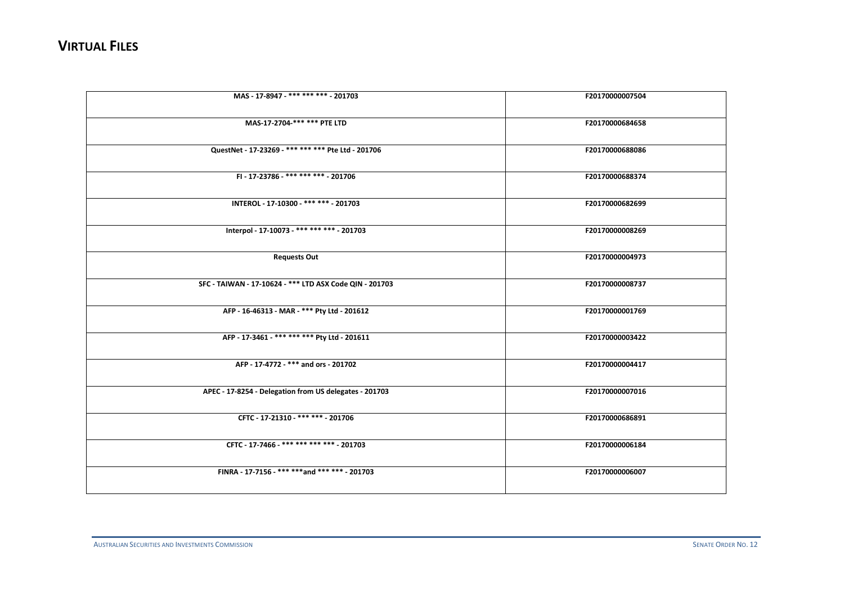| MAS - 17-8947 - *** *** *** - 201703                    | F20170000007504 |
|---------------------------------------------------------|-----------------|
|                                                         |                 |
| MAS-17-2704-*** *** PTE LTD                             | F20170000684658 |
|                                                         |                 |
| QuestNet - 17-23269 - *** *** *** Pte Ltd - 201706      | F20170000688086 |
|                                                         |                 |
| FI - 17-23786 - *** *** *** - 201706                    | F20170000688374 |
|                                                         |                 |
| INTEROL - 17-10300 - *** *** - 201703                   | F20170000682699 |
|                                                         |                 |
| Interpol - 17-10073 - *** *** *** - 201703              | F20170000008269 |
|                                                         | F20170000004973 |
| <b>Requests Out</b>                                     |                 |
| SFC - TAIWAN - 17-10624 - *** LTD ASX Code QIN - 201703 | F20170000008737 |
|                                                         |                 |
| AFP - 16-46313 - MAR - *** Pty Ltd - 201612             | F20170000001769 |
|                                                         |                 |
| AFP - 17-3461 - *** *** *** Pty Ltd - 201611            | F20170000003422 |
|                                                         |                 |
| AFP - 17-4772 - *** and ors - 201702                    | F20170000004417 |
|                                                         |                 |
| APEC - 17-8254 - Delegation from US delegates - 201703  | F20170000007016 |
|                                                         |                 |
| CFTC - 17-21310 - *** *** - 201706                      | F20170000686891 |
|                                                         |                 |
| CFTC - 17-7466 - *** *** *** *** - 201703               | F20170000006184 |
|                                                         |                 |
| FINRA - 17-7156 - *** *** and *** *** - 201703          | F20170000006007 |
|                                                         |                 |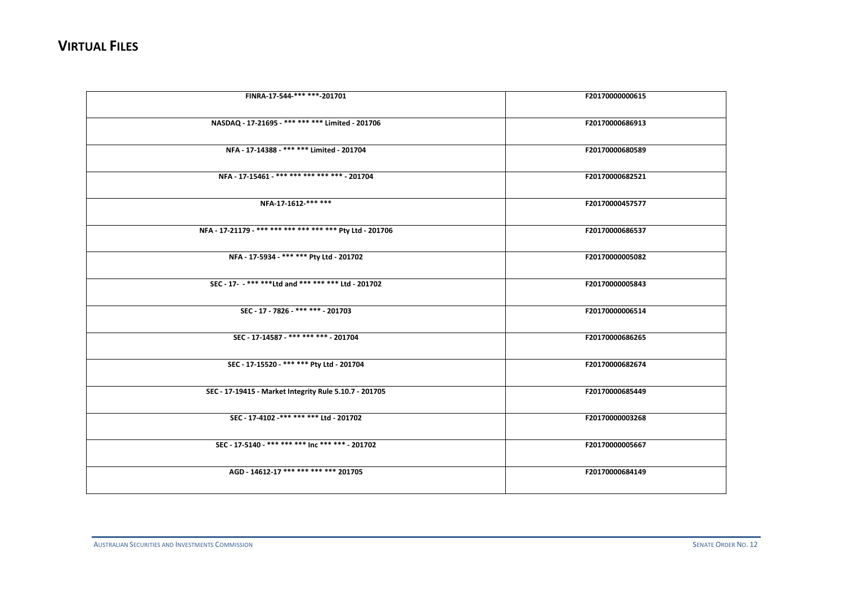| FINRA-17-544-*** ***-201701                               | F20170000000615 |
|-----------------------------------------------------------|-----------------|
| NASDAQ - 17-21695 - *** *** *** Limited - 201706          | F20170000686913 |
| NFA - 17-14388 - *** *** Limited - 201704                 | F20170000680589 |
| NFA - 17-15461 - *** *** *** *** *** - 201704             | F20170000682521 |
| NFA-17-1612-*** ***                                       | F20170000457577 |
| NFA - 17-21179 - *** *** *** *** *** *** Pty Ltd - 201706 | F20170000686537 |
| NFA - 17-5934 - *** *** Pty Ltd - 201702                  | F20170000005082 |
| SEC - 17- - *** ****Ltd and *** *** *** Ltd - 201702      | F20170000005843 |
| SEC - 17 - 7826 - *** *** - 201703                        | F20170000006514 |
| SEC - 17-14587 - *** *** *** - 201704                     | F20170000686265 |
| SEC - 17-15520 - *** *** Pty Ltd - 201704                 | F20170000682674 |
| SEC - 17-19415 - Market Integrity Rule 5.10.7 - 201705    | F20170000685449 |
| SEC - 17-4102 -*** *** *** Ltd - 201702                   | F20170000003268 |
| SEC - 17-5140 - *** *** *** Inc *** *** - 201702          | F20170000005667 |
| AGD - 14612-17 *** *** *** *** 201705                     | F20170000684149 |
|                                                           |                 |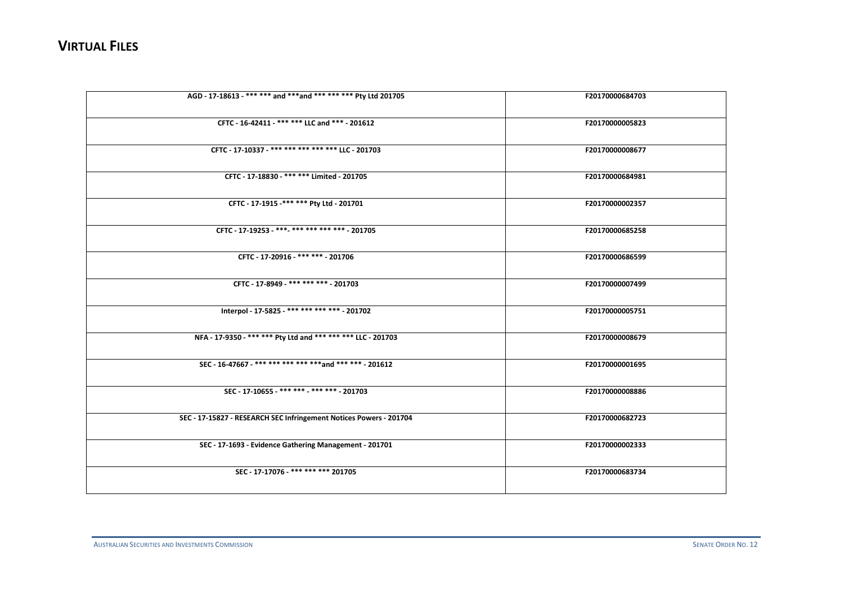| F20170000684703 |
|-----------------|
| F20170000005823 |
| F20170000008677 |
| F20170000684981 |
| F20170000002357 |
| F20170000685258 |
| F20170000686599 |
| F20170000007499 |
| F20170000005751 |
| F20170000008679 |
| F20170000001695 |
| F20170000008886 |
| F20170000682723 |
| F20170000002333 |
| F20170000683734 |
|                 |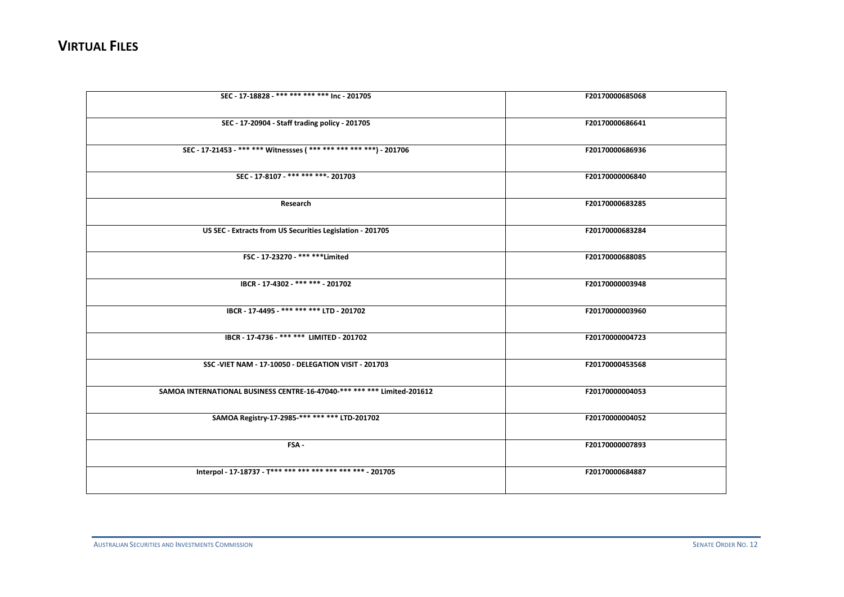| SEC - 17-18828 - *** *** *** *** Inc - 201705                           | F20170000685068 |
|-------------------------------------------------------------------------|-----------------|
| SEC - 17-20904 - Staff trading policy - 201705                          | F20170000686641 |
| SEC - 17-21453 - *** *** Witnessses (*** *** *** *** ***) - 201706      | F20170000686936 |
| SEC - 17-8107 - *** *** *** - 201703                                    | F20170000006840 |
| Research                                                                | F20170000683285 |
| US SEC - Extracts from US Securities Legislation - 201705               | F20170000683284 |
| FSC - 17-23270 - *** **** Limited                                       | F20170000688085 |
| IBCR - 17-4302 - *** *** - 201702                                       | F20170000003948 |
| IBCR - 17-4495 - *** *** *** LTD - 201702                               | F20170000003960 |
| IBCR - 17-4736 - *** *** LIMITED - 201702                               | F20170000004723 |
| SSC-VIET NAM - 17-10050 - DELEGATION VISIT - 201703                     | F20170000453568 |
| SAMOA INTERNATIONAL BUSINESS CENTRE-16-47040-*** *** *** Limited-201612 | F20170000004053 |
| SAMOA Registry-17-2985-*** *** *** LTD-201702                           | F20170000004052 |
| FSA-                                                                    | F20170000007893 |
| Interpol - 17-18737 - T *** *** *** *** *** *** *** - 201705            | F20170000684887 |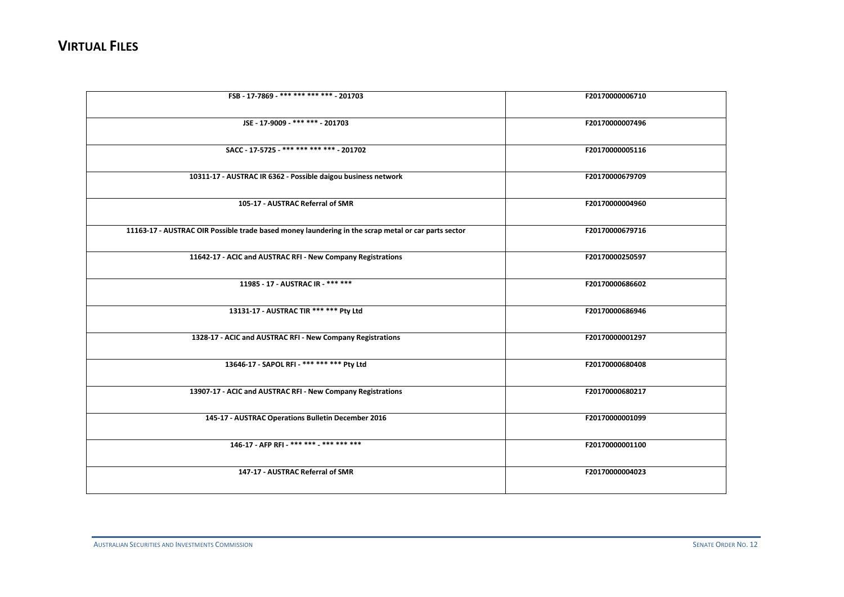| FSB - 17-7869 -*** *** *** *** - 201703                                                             | F20170000006710 |
|-----------------------------------------------------------------------------------------------------|-----------------|
|                                                                                                     |                 |
| JSE - 17-9009 - *** *** - 201703                                                                    | F20170000007496 |
|                                                                                                     |                 |
|                                                                                                     |                 |
| SACC - 17-5725 - *** *** *** *** - 201702                                                           | F20170000005116 |
|                                                                                                     |                 |
| 10311-17 - AUSTRAC IR 6362 - Possible daigou business network                                       | F20170000679709 |
|                                                                                                     |                 |
| 105-17 - AUSTRAC Referral of SMR                                                                    |                 |
|                                                                                                     | F20170000004960 |
|                                                                                                     |                 |
| 11163-17 - AUSTRAC OIR Possible trade based money laundering in the scrap metal or car parts sector | F20170000679716 |
|                                                                                                     |                 |
| 11642-17 - ACIC and AUSTRAC RFI - New Company Registrations                                         | F20170000250597 |
|                                                                                                     |                 |
|                                                                                                     |                 |
| 11985 - 17 - AUSTRAC IR - *** ***                                                                   | F20170000686602 |
|                                                                                                     |                 |
| 13131-17 - AUSTRAC TIR *** *** Pty Ltd                                                              | F20170000686946 |
|                                                                                                     |                 |
| 1328-17 - ACIC and AUSTRAC RFI - New Company Registrations                                          | F20170000001297 |
|                                                                                                     |                 |
|                                                                                                     |                 |
| 13646-17 - SAPOL RFI - *** *** *** Pty Ltd                                                          | F20170000680408 |
|                                                                                                     |                 |
| 13907-17 - ACIC and AUSTRAC RFI - New Company Registrations                                         | F20170000680217 |
|                                                                                                     |                 |
| 145-17 - AUSTRAC Operations Bulletin December 2016                                                  | F20170000001099 |
|                                                                                                     |                 |
|                                                                                                     |                 |
| 146-17 - AFP RFI - *** *** *** *** *** ***                                                          | F20170000001100 |
|                                                                                                     |                 |
| 147-17 - AUSTRAC Referral of SMR                                                                    | F20170000004023 |
|                                                                                                     |                 |
|                                                                                                     |                 |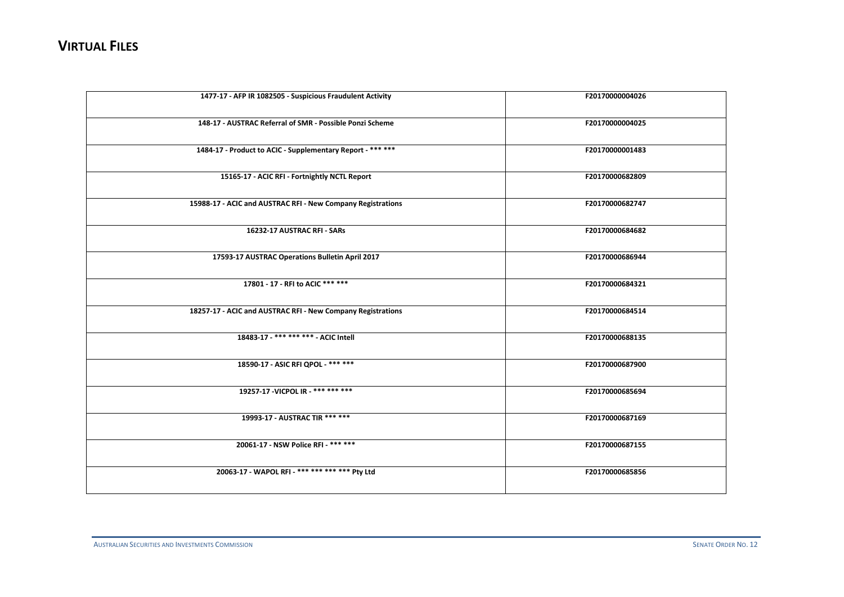| 1477-17 - AFP IR 1082505 - Suspicious Fraudulent Activity   | F20170000004026 |
|-------------------------------------------------------------|-----------------|
| 148-17 - AUSTRAC Referral of SMR - Possible Ponzi Scheme    | F20170000004025 |
| 1484-17 - Product to ACIC - Supplementary Report - *** ***  | F20170000001483 |
| 15165-17 - ACIC RFI - Fortnightly NCTL Report               | F20170000682809 |
| 15988-17 - ACIC and AUSTRAC RFI - New Company Registrations | F20170000682747 |
| 16232-17 AUSTRAC RFI - SARs                                 | F20170000684682 |
| 17593-17 AUSTRAC Operations Bulletin April 2017             | F20170000686944 |
| 17801 - 17 - RFI to ACIC *** ***                            | F20170000684321 |
| 18257-17 - ACIC and AUSTRAC RFI - New Company Registrations | F20170000684514 |
| 18483-17 - *** *** *** - ACIC Intell                        | F20170000688135 |
| 18590-17 - ASIC RFI QPOL - *** ***                          | F20170000687900 |
| 19257-17 - VICPOL IR - *** *** ***                          | F20170000685694 |
| 19993-17 - AUSTRAC TIR *** ***                              | F20170000687169 |
| 20061-17 - NSW Police RFI - *** ***                         | F20170000687155 |
| 20063-17 - WAPOL RFI - *** *** *** *** Pty Ltd              | F20170000685856 |
|                                                             |                 |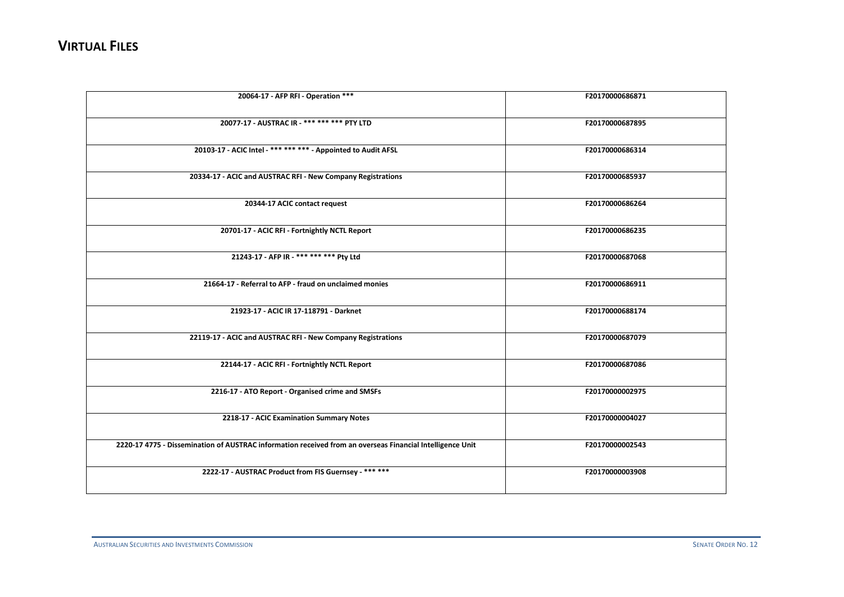| 20064-17 - AFP RFI - Operation ***                                                                        | F20170000686871 |
|-----------------------------------------------------------------------------------------------------------|-----------------|
| 20077-17 - AUSTRAC IR - *** *** *** PTY LTD                                                               | F20170000687895 |
| 20103-17 - ACIC Intel - *** *** *** - Appointed to Audit AFSL                                             | F20170000686314 |
| 20334-17 - ACIC and AUSTRAC RFI - New Company Registrations                                               | F20170000685937 |
| 20344-17 ACIC contact request                                                                             | F20170000686264 |
| 20701-17 - ACIC RFI - Fortnightly NCTL Report                                                             | F20170000686235 |
| 21243-17 - AFP IR - *** *** *** Pty Ltd                                                                   | F20170000687068 |
| 21664-17 - Referral to AFP - fraud on unclaimed monies                                                    | F20170000686911 |
| 21923-17 - ACIC IR 17-118791 - Darknet                                                                    | F20170000688174 |
| 22119-17 - ACIC and AUSTRAC RFI - New Company Registrations                                               | F20170000687079 |
| 22144-17 - ACIC RFI - Fortnightly NCTL Report                                                             | F20170000687086 |
| 2216-17 - ATO Report - Organised crime and SMSFs                                                          | F20170000002975 |
| 2218-17 - ACIC Examination Summary Notes                                                                  | F20170000004027 |
| 2220-17 4775 - Dissemination of AUSTRAC information received from an overseas Financial Intelligence Unit | F20170000002543 |
| 2222-17 - AUSTRAC Product from FIS Guernsey - *** ***                                                     | F20170000003908 |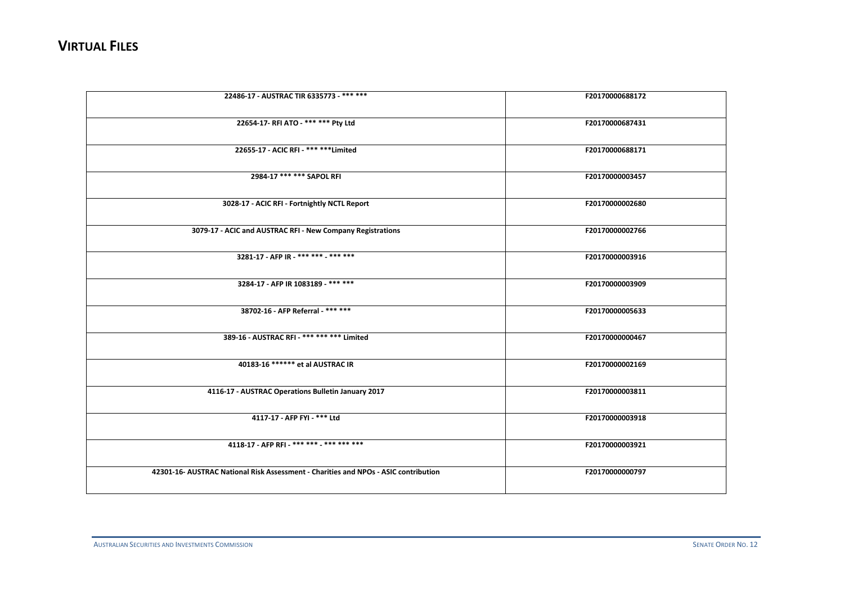| 22486-17 - AUSTRAC TIR 6335773 - *** ***                                            | F20170000688172 |
|-------------------------------------------------------------------------------------|-----------------|
| 22654-17- RFI ATO - *** *** Pty Ltd                                                 | F20170000687431 |
| 22655-17 - ACIC RFI - *** *** Limited                                               | F20170000688171 |
| 2984-17 *** *** SAPOL RFI                                                           | F20170000003457 |
| 3028-17 - ACIC RFI - Fortnightly NCTL Report                                        | F20170000002680 |
| 3079-17 - ACIC and AUSTRAC RFI - New Company Registrations                          | F20170000002766 |
| 3281-17 - AFP IR - *** *** - *** ***                                                | F20170000003916 |
| 3284-17 - AFP IR 1083189 - *** ***                                                  | F20170000003909 |
| 38702-16 - AFP Referral - *** ***                                                   | F20170000005633 |
| 389-16 - AUSTRAC RFI - *** *** *** Limited                                          | F20170000000467 |
| 40183-16 ****** et al AUSTRAC IR                                                    | F20170000002169 |
| 4116-17 - AUSTRAC Operations Bulletin January 2017                                  | F20170000003811 |
| 4117-17 - AFP FYI - *** Ltd                                                         | F20170000003918 |
| 4118-17 - AFP RFI - *** *** *** *** *** ***                                         | F20170000003921 |
| 42301-16- AUSTRAC National Risk Assessment - Charities and NPOs - ASIC contribution | F20170000000797 |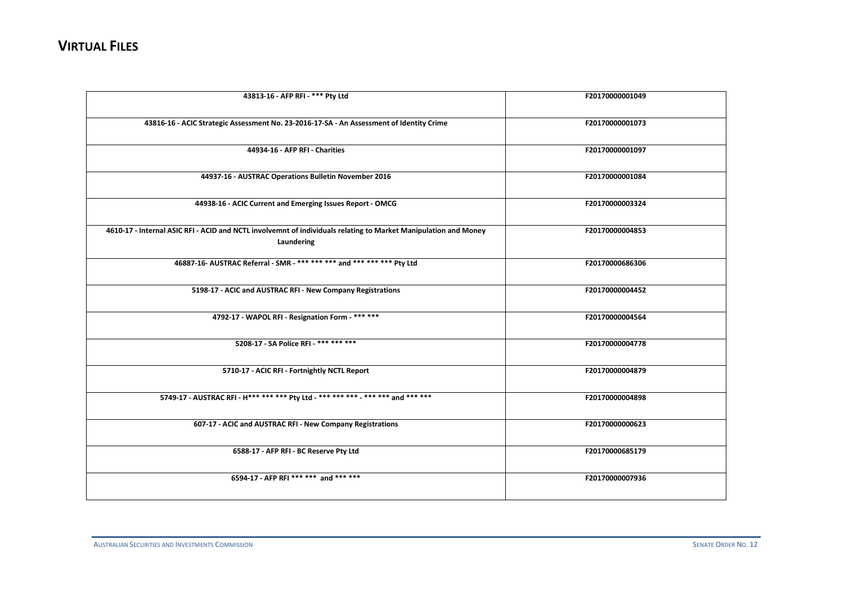| 43813-16 - AFP RFI - *** Pty Ltd                                                                                              | F20170000001049 |
|-------------------------------------------------------------------------------------------------------------------------------|-----------------|
|                                                                                                                               |                 |
| 43816-16 - ACIC Strategic Assessment No. 23-2016-17-SA - An Assessment of Identity Crime                                      | F20170000001073 |
|                                                                                                                               |                 |
| 44934-16 - AFP RFI - Charities                                                                                                | F20170000001097 |
|                                                                                                                               |                 |
| 44937-16 - AUSTRAC Operations Bulletin November 2016                                                                          | F20170000001084 |
|                                                                                                                               |                 |
|                                                                                                                               |                 |
| 44938-16 - ACIC Current and Emerging Issues Report - OMCG                                                                     | F20170000003324 |
|                                                                                                                               |                 |
| 4610-17 - Internal ASIC RFI - ACID and NCTL involvemnt of individuals relating to Market Manipulation and Money<br>Laundering | F20170000004853 |
|                                                                                                                               |                 |
| 46887-16- AUSTRAC Referral - SMR - *** *** *** and *** *** *** Pty Ltd                                                        | F20170000686306 |
|                                                                                                                               |                 |
| 5198-17 - ACIC and AUSTRAC RFI - New Company Registrations                                                                    | F20170000004452 |
|                                                                                                                               |                 |
| 4792-17 - WAPOL RFI - Resignation Form - *** ***                                                                              | F20170000004564 |
|                                                                                                                               |                 |
| 5208-17 - SA Police RFI - *** *** ***                                                                                         | F20170000004778 |
|                                                                                                                               |                 |
| 5710-17 - ACIC RFI - Fortnightly NCTL Report                                                                                  | F20170000004879 |
|                                                                                                                               |                 |
| 5749-17 - AUSTRAC RFI - H*** *** *** Pty Ltd - *** *** *** - *** *** and *** ***                                              | F20170000004898 |
|                                                                                                                               |                 |
| 607-17 - ACIC and AUSTRAC RFI - New Company Registrations                                                                     | F20170000000623 |
|                                                                                                                               |                 |
|                                                                                                                               | F20170000685179 |
| 6588-17 - AFP RFI - BC Reserve Pty Ltd                                                                                        |                 |
|                                                                                                                               |                 |
| 6594-17 - AFP RFI *** *** and *** ***                                                                                         | F20170000007936 |
|                                                                                                                               |                 |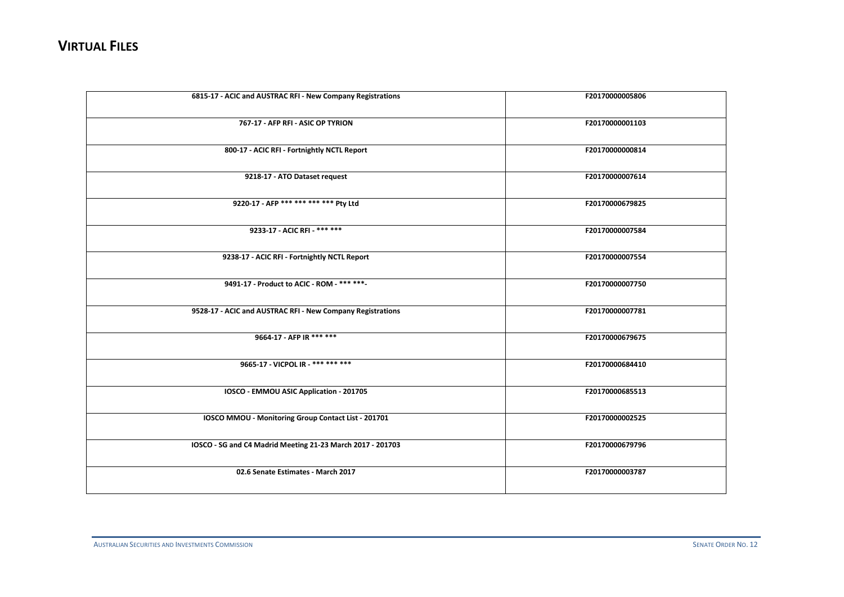| 6815-17 - ACIC and AUSTRAC RFI - New Company Registrations | F20170000005806 |
|------------------------------------------------------------|-----------------|
| 767-17 - AFP RFI - ASIC OP TYRION                          | F20170000001103 |
| 800-17 - ACIC RFI - Fortnightly NCTL Report                | F20170000000814 |
| 9218-17 - ATO Dataset request                              | F20170000007614 |
| 9220-17 - AFP *** *** *** *** Pty Ltd                      | F20170000679825 |
| 9233-17 - ACIC RFI - *** ***                               | F20170000007584 |
| 9238-17 - ACIC RFI - Fortnightly NCTL Report               | F20170000007554 |
| 9491-17 - Product to ACIC - ROM - *** ***                  | F20170000007750 |
| 9528-17 - ACIC and AUSTRAC RFI - New Company Registrations | F20170000007781 |
| 9664-17 - AFP IR *** ***                                   | F20170000679675 |
| 9665-17 - VICPOL IR - *** *** ***                          | F20170000684410 |
| IOSCO - EMMOU ASIC Application - 201705                    | F20170000685513 |
| IOSCO MMOU - Monitoring Group Contact List - 201701        | F20170000002525 |
| IOSCO - SG and C4 Madrid Meeting 21-23 March 2017 - 201703 | F20170000679796 |
| 02.6 Senate Estimates - March 2017                         | F20170000003787 |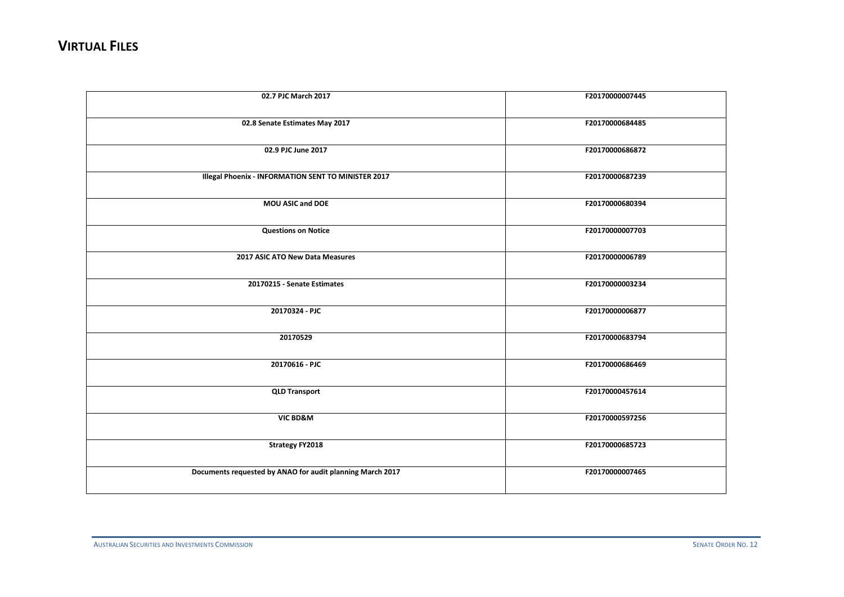| 02.7 PJC March 2017                                       | F20170000007445 |
|-----------------------------------------------------------|-----------------|
| 02.8 Senate Estimates May 2017                            | F20170000684485 |
| 02.9 PJC June 2017                                        | F20170000686872 |
| Illegal Phoenix - INFORMATION SENT TO MINISTER 2017       | F20170000687239 |
| MOU ASIC and DOE                                          | F20170000680394 |
| <b>Questions on Notice</b>                                | F20170000007703 |
| 2017 ASIC ATO New Data Measures                           | F20170000006789 |
| 20170215 - Senate Estimates                               | F20170000003234 |
| 20170324 - PJC                                            | F20170000006877 |
| 20170529                                                  | F20170000683794 |
| 20170616 - PJC                                            | F20170000686469 |
| <b>QLD Transport</b>                                      | F20170000457614 |
| VIC BD&M                                                  | F20170000597256 |
| <b>Strategy FY2018</b>                                    | F20170000685723 |
| Documents requested by ANAO for audit planning March 2017 | F20170000007465 |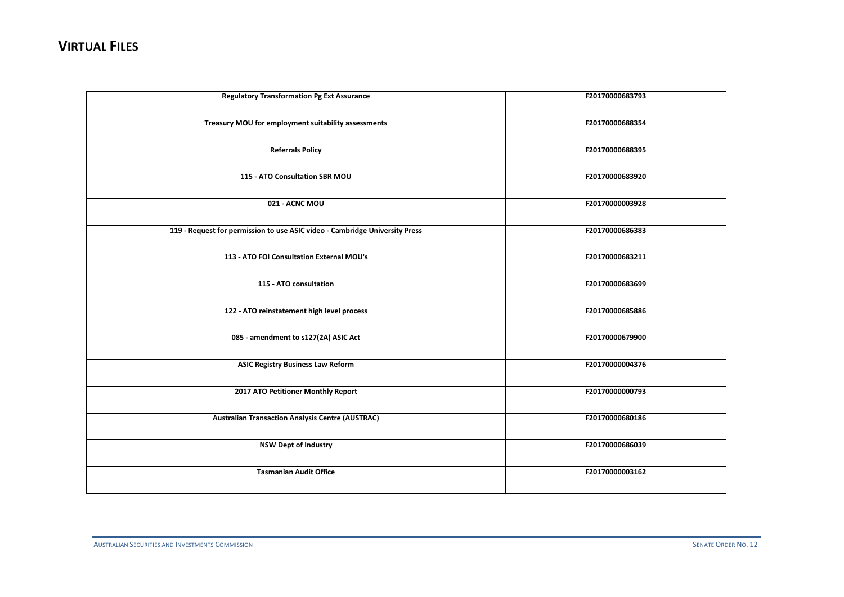| <b>Regulatory Transformation Pg Ext Assurance</b>                           | F20170000683793 |
|-----------------------------------------------------------------------------|-----------------|
| Treasury MOU for employment suitability assessments                         | F20170000688354 |
| <b>Referrals Policy</b>                                                     | F20170000688395 |
| 115 - ATO Consultation SBR MOU                                              | F20170000683920 |
| 021 - ACNC MOU                                                              | F20170000003928 |
| 119 - Request for permission to use ASIC video - Cambridge University Press | F20170000686383 |
| 113 - ATO FOI Consultation External MOU's                                   | F20170000683211 |
| 115 - ATO consultation                                                      | F20170000683699 |
| 122 - ATO reinstatement high level process                                  | F20170000685886 |
| 085 - amendment to s127(2A) ASIC Act                                        | F20170000679900 |
| <b>ASIC Registry Business Law Reform</b>                                    | F20170000004376 |
| 2017 ATO Petitioner Monthly Report                                          | F20170000000793 |
| <b>Australian Transaction Analysis Centre (AUSTRAC)</b>                     | F20170000680186 |
| <b>NSW Dept of Industry</b>                                                 | F20170000686039 |
| <b>Tasmanian Audit Office</b>                                               | F20170000003162 |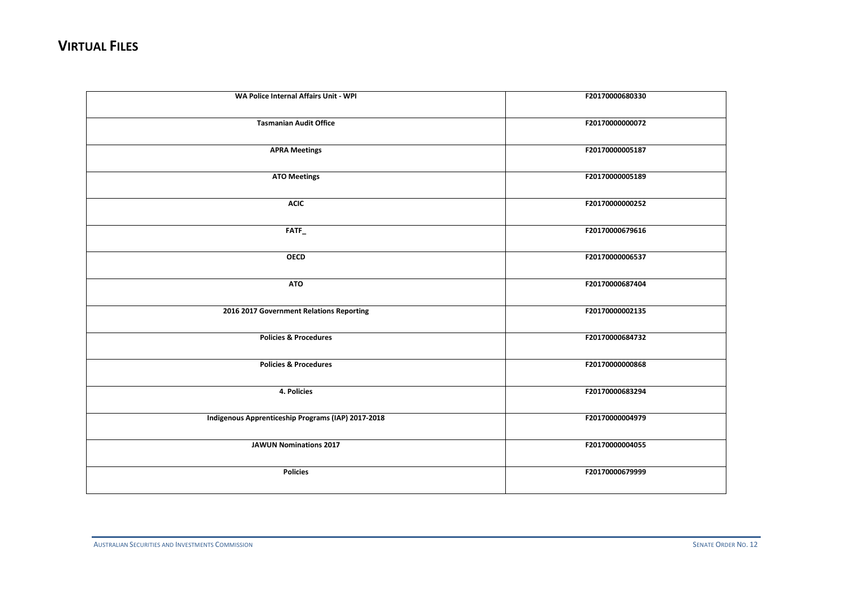| WA Police Internal Affairs Unit - WPI              | F20170000680330 |
|----------------------------------------------------|-----------------|
| <b>Tasmanian Audit Office</b>                      | F20170000000072 |
| <b>APRA Meetings</b>                               | F20170000005187 |
| <b>ATO Meetings</b>                                | F20170000005189 |
| <b>ACIC</b>                                        | F20170000000252 |
| FATF_                                              | F20170000679616 |
| <b>OECD</b>                                        | F20170000006537 |
| <b>ATO</b>                                         | F20170000687404 |
| 2016 2017 Government Relations Reporting           | F20170000002135 |
| <b>Policies &amp; Procedures</b>                   | F20170000684732 |
| <b>Policies &amp; Procedures</b>                   | F20170000000868 |
| 4. Policies                                        | F20170000683294 |
| Indigenous Apprenticeship Programs (IAP) 2017-2018 | F20170000004979 |
| <b>JAWUN Nominations 2017</b>                      | F20170000004055 |
| <b>Policies</b>                                    | F20170000679999 |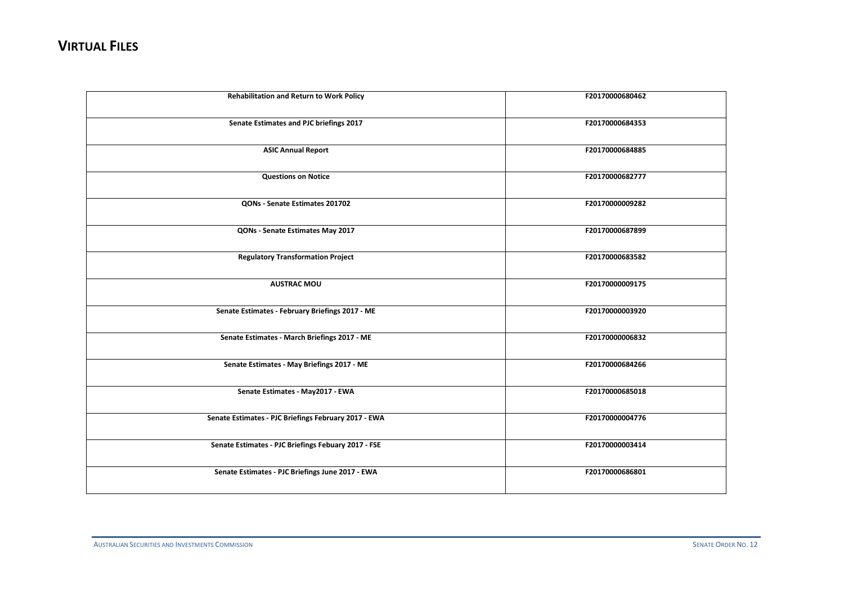| <b>Rehabilitation and Return to Work Policy</b>      | F20170000680462 |
|------------------------------------------------------|-----------------|
| Senate Estimates and PJC briefings 2017              | F20170000684353 |
| <b>ASIC Annual Report</b>                            | F20170000684885 |
| <b>Questions on Notice</b>                           | F20170000682777 |
| QONs - Senate Estimates 201702                       | F20170000009282 |
| QONs - Senate Estimates May 2017                     | F20170000687899 |
| <b>Regulatory Transformation Project</b>             | F20170000683582 |
| <b>AUSTRAC MOU</b>                                   | F20170000009175 |
| Senate Estimates - February Briefings 2017 - ME      | F20170000003920 |
| Senate Estimates - March Briefings 2017 - ME         | F20170000006832 |
| Senate Estimates - May Briefings 2017 - ME           | F20170000684266 |
| Senate Estimates - May2017 - EWA                     | F20170000685018 |
| Senate Estimates - PJC Briefings February 2017 - EWA | F20170000004776 |
| Senate Estimates - PJC Briefings Febuary 2017 - FSE  | F20170000003414 |
| Senate Estimates - PJC Briefings June 2017 - EWA     | F20170000686801 |